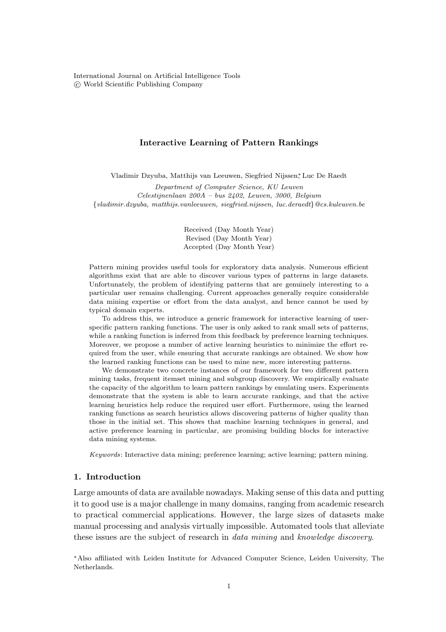International Journal on Artificial Intelligence Tools c World Scientific Publishing Company

## Interactive Learning of Pattern Rankings

Vladimir Dzyuba, Matthijs van Leeuwen, Siegfried Nijssen,\* Luc De Raedt

*Department of Computer Science, KU Leuven Celestijnenlaan 200A – bus 2402, Leuven, 3000, Belgium {vladimir.dzyuba, matthijs.vanleeuwen, siegfried.nijssen, luc.deraedt}@cs.kuleuven.be*

> Received (Day Month Year) Revised (Day Month Year) Accepted (Day Month Year)

Pattern mining provides useful tools for exploratory data analysis. Numerous efficient algorithms exist that are able to discover various types of patterns in large datasets. Unfortunately, the problem of identifying patterns that are genuinely interesting to a particular user remains challenging. Current approaches generally require considerable data mining expertise or effort from the data analyst, and hence cannot be used by typical domain experts.

To address this, we introduce a generic framework for interactive learning of userspecific pattern ranking functions. The user is only asked to rank small sets of patterns, while a ranking function is inferred from this feedback by preference learning techniques. Moreover, we propose a number of active learning heuristics to minimize the effort required from the user, while ensuring that accurate rankings are obtained. We show how the learned ranking functions can be used to mine new, more interesting patterns.

We demonstrate two concrete instances of our framework for two different pattern mining tasks, frequent itemset mining and subgroup discovery. We empirically evaluate the capacity of the algorithm to learn pattern rankings by emulating users. Experiments demonstrate that the system is able to learn accurate rankings, and that the active learning heuristics help reduce the required user effort. Furthermore, using the learned ranking functions as search heuristics allows discovering patterns of higher quality than those in the initial set. This shows that machine learning techniques in general, and active preference learning in particular, are promising building blocks for interactive data mining systems.

*Keywords*: Interactive data mining; preference learning; active learning; pattern mining.

# 1. Introduction

Large amounts of data are available nowadays. Making sense of this data and putting it to good use is a major challenge in many domains, ranging from academic research to practical commercial applications. However, the large sizes of datasets make manual processing and analysis virtually impossible. Automated tools that alleviate these issues are the subject of research in *data mining* and *knowledge discovery*.

⇤Also aliated with Leiden Institute for Advanced Computer Science, Leiden University, The Netherlands.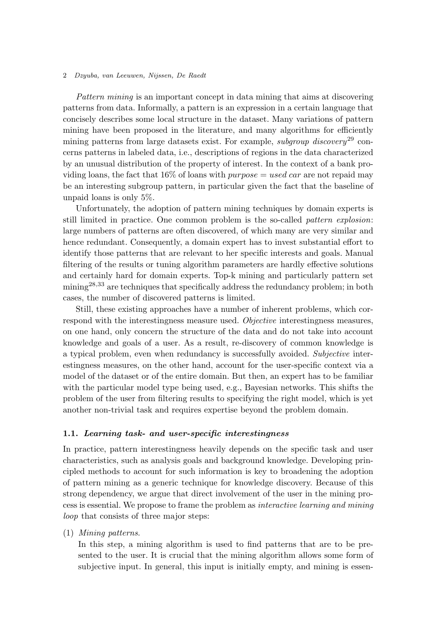*Pattern mining* is an important concept in data mining that aims at discovering patterns from data. Informally, a pattern is an expression in a certain language that concisely describes some local structure in the dataset. Many variations of pattern mining have been proposed in the literature, and many algorithms for efficiently mining patterns from large datasets exist. For example, *subgroup discovery*<sup>29</sup> concerns patterns in labeled data, i.e., descriptions of regions in the data characterized by an unusual distribution of the property of interest. In the context of a bank providing loans, the fact that  $16\%$  of loans with *purpose* = *used car* are not repaid may be an interesting subgroup pattern, in particular given the fact that the baseline of unpaid loans is only 5%.

Unfortunately, the adoption of pattern mining techniques by domain experts is still limited in practice. One common problem is the so-called *pattern explosion*: large numbers of patterns are often discovered, of which many are very similar and hence redundant. Consequently, a domain expert has to invest substantial effort to identify those patterns that are relevant to her specific interests and goals. Manual filtering of the results or tuning algorithm parameters are hardly effective solutions and certainly hard for domain experts. Top-k mining and particularly pattern set mining<sup>28,33</sup> are techniques that specifically address the redundancy problem; in both cases, the number of discovered patterns is limited.

Still, these existing approaches have a number of inherent problems, which correspond with the interestingness measure used. *Objective* interestingness measures, on one hand, only concern the structure of the data and do not take into account knowledge and goals of a user. As a result, re-discovery of common knowledge is a typical problem, even when redundancy is successfully avoided. *Subjective* interestingness measures, on the other hand, account for the user-specific context via a model of the dataset or of the entire domain. But then, an expert has to be familiar with the particular model type being used, e.g., Bayesian networks. This shifts the problem of the user from filtering results to specifying the right model, which is yet another non-trivial task and requires expertise beyond the problem domain.

## 1.1. *Learning task- and user-specific interestingness*

In practice, pattern interestingness heavily depends on the specific task and user characteristics, such as analysis goals and background knowledge. Developing principled methods to account for such information is key to broadening the adoption of pattern mining as a generic technique for knowledge discovery. Because of this strong dependency, we argue that direct involvement of the user in the mining process is essential. We propose to frame the problem as *interactive learning and mining loop* that consists of three major steps:

# (1) *Mining patterns*.

In this step, a mining algorithm is used to find patterns that are to be presented to the user. It is crucial that the mining algorithm allows some form of subjective input. In general, this input is initially empty, and mining is essen-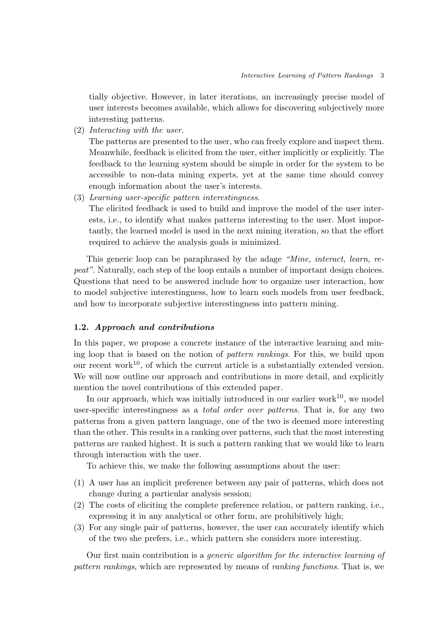tially objective. However, in later iterations, an increasingly precise model of user interests becomes available, which allows for discovering subjectively more interesting patterns.

(2) *Interacting with the user*.

The patterns are presented to the user, who can freely explore and inspect them. Meanwhile, feedback is elicited from the user, either implicitly or explicitly. The feedback to the learning system should be simple in order for the system to be accessible to non-data mining experts, yet at the same time should convey enough information about the user's interests.

(3) *Learning user-specific pattern interestingness*.

The elicited feedback is used to build and improve the model of the user interests, i.e., to identify what makes patterns interesting to the user. Most importantly, the learned model is used in the next mining iteration, so that the effort required to achieve the analysis goals is minimized.

This generic loop can be paraphrased by the adage *"Mine, interact, learn, repeat"*. Naturally, each step of the loop entails a number of important design choices. Questions that need to be answered include how to organize user interaction, how to model subjective interestingness, how to learn such models from user feedback, and how to incorporate subjective interestingness into pattern mining.

# 1.2. *Approach and contributions*

In this paper, we propose a concrete instance of the interactive learning and mining loop that is based on the notion of *pattern rankings*. For this, we build upon our recent work<sup>10</sup>, of which the current article is a substantially extended version. We will now outline our approach and contributions in more detail, and explicitly mention the novel contributions of this extended paper.

In our approach, which was initially introduced in our earlier work<sup>10</sup>, we model user-specific interestingness as a *total order over patterns*. That is, for any two patterns from a given pattern language, one of the two is deemed more interesting than the other. This results in a ranking over patterns, such that the most interesting patterns are ranked highest. It is such a pattern ranking that we would like to learn through interaction with the user.

To achieve this, we make the following assumptions about the user:

- (1) A user has an implicit preference between any pair of patterns, which does not change during a particular analysis session;
- (2) The costs of eliciting the complete preference relation, or pattern ranking, i.e., expressing it in any analytical or other form, are prohibitively high;
- (3) For any single pair of patterns, however, the user can accurately identify which of the two she prefers, i.e., which pattern she considers more interesting.

Our first main contribution is a *generic algorithm for the interactive learning of pattern rankings*, which are represented by means of *ranking functions*. That is, we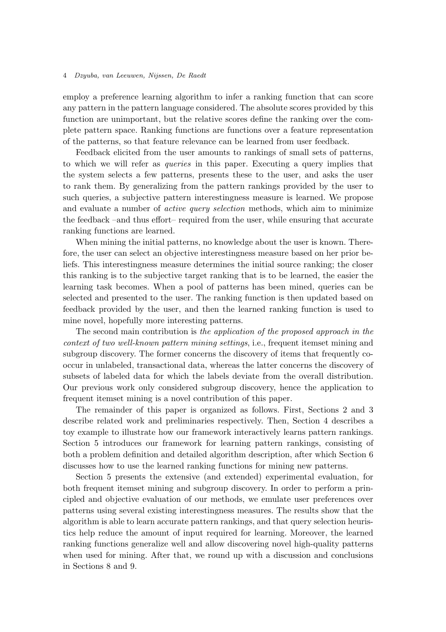employ a preference learning algorithm to infer a ranking function that can score any pattern in the pattern language considered. The absolute scores provided by this function are unimportant, but the relative scores define the ranking over the complete pattern space. Ranking functions are functions over a feature representation of the patterns, so that feature relevance can be learned from user feedback.

Feedback elicited from the user amounts to rankings of small sets of patterns, to which we will refer as *queries* in this paper. Executing a query implies that the system selects a few patterns, presents these to the user, and asks the user to rank them. By generalizing from the pattern rankings provided by the user to such queries, a subjective pattern interestingness measure is learned. We propose and evaluate a number of *active query selection* methods, which aim to minimize the feedback –and thus effort– required from the user, while ensuring that accurate ranking functions are learned.

When mining the initial patterns, no knowledge about the user is known. Therefore, the user can select an objective interestingness measure based on her prior beliefs. This interestingness measure determines the initial source ranking; the closer this ranking is to the subjective target ranking that is to be learned, the easier the learning task becomes. When a pool of patterns has been mined, queries can be selected and presented to the user. The ranking function is then updated based on feedback provided by the user, and then the learned ranking function is used to mine novel, hopefully more interesting patterns.

The second main contribution is *the application of the proposed approach in the context of two well-known pattern mining settings*, i.e., frequent itemset mining and subgroup discovery. The former concerns the discovery of items that frequently cooccur in unlabeled, transactional data, whereas the latter concerns the discovery of subsets of labeled data for which the labels deviate from the overall distribution. Our previous work only considered subgroup discovery, hence the application to frequent itemset mining is a novel contribution of this paper.

The remainder of this paper is organized as follows. First, Sections 2 and 3 describe related work and preliminaries respectively. Then, Section 4 describes a toy example to illustrate how our framework interactively learns pattern rankings. Section 5 introduces our framework for learning pattern rankings, consisting of both a problem definition and detailed algorithm description, after which Section 6 discusses how to use the learned ranking functions for mining new patterns.

Section 5 presents the extensive (and extended) experimental evaluation, for both frequent itemset mining and subgroup discovery. In order to perform a principled and objective evaluation of our methods, we emulate user preferences over patterns using several existing interestingness measures. The results show that the algorithm is able to learn accurate pattern rankings, and that query selection heuristics help reduce the amount of input required for learning. Moreover, the learned ranking functions generalize well and allow discovering novel high-quality patterns when used for mining. After that, we round up with a discussion and conclusions in Sections 8 and 9.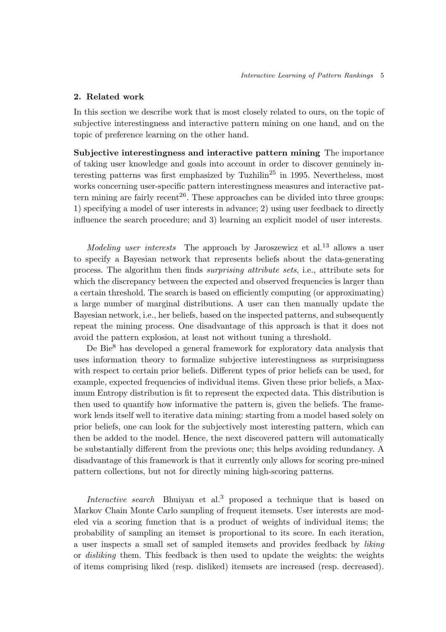# 2. Related work

In this section we describe work that is most closely related to ours, on the topic of subjective interestingness and interactive pattern mining on one hand, and on the topic of preference learning on the other hand.

Subjective interestingness and interactive pattern mining The importance of taking user knowledge and goals into account in order to discover genuinely interesting patterns was first emphasized by Tuzhilin<sup>25</sup> in 1995. Nevertheless, most works concerning user-specific pattern interestingness measures and interactive pattern mining are fairly recent<sup>26</sup>. These approaches can be divided into three groups: 1) specifying a model of user interests in advance; 2) using user feedback to directly influence the search procedure; and 3) learning an explicit model of user interests.

*Modeling user interests* The approach by Jaroszewicz et al.<sup>13</sup> allows a user to specify a Bayesian network that represents beliefs about the data-generating process. The algorithm then finds *surprising attribute sets*, i.e., attribute sets for which the discrepancy between the expected and observed frequencies is larger than a certain threshold. The search is based on efficiently computing (or approximating) a large number of marginal distributions. A user can then manually update the Bayesian network, i.e., her beliefs, based on the inspected patterns, and subsequently repeat the mining process. One disadvantage of this approach is that it does not avoid the pattern explosion, at least not without tuning a threshold.

De Bie<sup>8</sup> has developed a general framework for exploratory data analysis that uses information theory to formalize subjective interestingness as surprisingness with respect to certain prior beliefs. Different types of prior beliefs can be used, for example, expected frequencies of individual items. Given these prior beliefs, a Maximum Entropy distribution is fit to represent the expected data. This distribution is then used to quantify how informative the pattern is, given the beliefs. The framework lends itself well to iterative data mining: starting from a model based solely on prior beliefs, one can look for the subjectively most interesting pattern, which can then be added to the model. Hence, the next discovered pattern will automatically be substantially different from the previous one; this helps avoiding redundancy. A disadvantage of this framework is that it currently only allows for scoring pre-mined pattern collections, but not for directly mining high-scoring patterns.

*Interactive search* Bhuiyan et al.<sup>3</sup> proposed a technique that is based on Markov Chain Monte Carlo sampling of frequent itemsets. User interests are modeled via a scoring function that is a product of weights of individual items; the probability of sampling an itemset is proportional to its score. In each iteration, a user inspects a small set of sampled itemsets and provides feedback by *liking* or *disliking* them. This feedback is then used to update the weights: the weights of items comprising liked (resp. disliked) itemsets are increased (resp. decreased).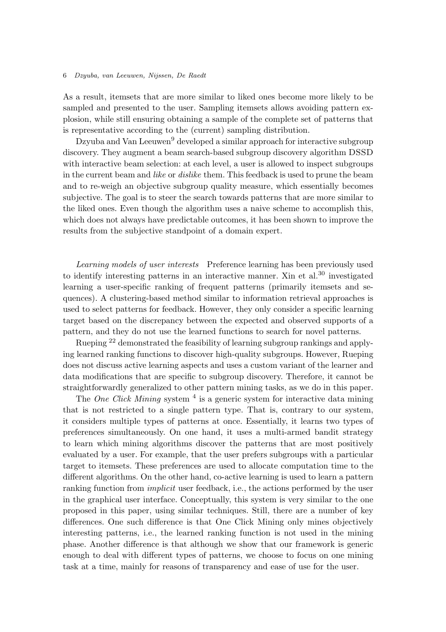As a result, itemsets that are more similar to liked ones become more likely to be sampled and presented to the user. Sampling itemsets allows avoiding pattern explosion, while still ensuring obtaining a sample of the complete set of patterns that is representative according to the (current) sampling distribution.

Dzyuba and Van Leeuwen<sup>9</sup> developed a similar approach for interactive subgroup discovery. They augment a beam search-based subgroup discovery algorithm DSSD with interactive beam selection: at each level, a user is allowed to inspect subgroups in the current beam and *like* or *dislike* them. This feedback is used to prune the beam and to re-weigh an objective subgroup quality measure, which essentially becomes subjective. The goal is to steer the search towards patterns that are more similar to the liked ones. Even though the algorithm uses a naive scheme to accomplish this, which does not always have predictable outcomes, it has been shown to improve the results from the subjective standpoint of a domain expert.

*Learning models of user interests* Preference learning has been previously used to identify interesting patterns in an interactive manner. Xin et al.<sup>30</sup> investigated learning a user-specific ranking of frequent patterns (primarily itemsets and sequences). A clustering-based method similar to information retrieval approaches is used to select patterns for feedback. However, they only consider a specific learning target based on the discrepancy between the expected and observed supports of a pattern, and they do not use the learned functions to search for novel patterns.

Rueping <sup>22</sup> demonstrated the feasibility of learning subgroup rankings and applying learned ranking functions to discover high-quality subgroups. However, Rueping does not discuss active learning aspects and uses a custom variant of the learner and data modifications that are specific to subgroup discovery. Therefore, it cannot be straightforwardly generalized to other pattern mining tasks, as we do in this paper.

The *One Click Mining* system <sup>4</sup> is a generic system for interactive data mining that is not restricted to a single pattern type. That is, contrary to our system, it considers multiple types of patterns at once. Essentially, it learns two types of preferences simultaneously. On one hand, it uses a multi-armed bandit strategy to learn which mining algorithms discover the patterns that are most positively evaluated by a user. For example, that the user prefers subgroups with a particular target to itemsets. These preferences are used to allocate computation time to the different algorithms. On the other hand, co-active learning is used to learn a pattern ranking function from *implicit* user feedback, i.e., the actions performed by the user in the graphical user interface. Conceptually, this system is very similar to the one proposed in this paper, using similar techniques. Still, there are a number of key differences. One such difference is that One Click Mining only mines objectively interesting patterns, i.e., the learned ranking function is not used in the mining phase. Another difference is that although we show that our framework is generic enough to deal with different types of patterns, we choose to focus on one mining task at a time, mainly for reasons of transparency and ease of use for the user.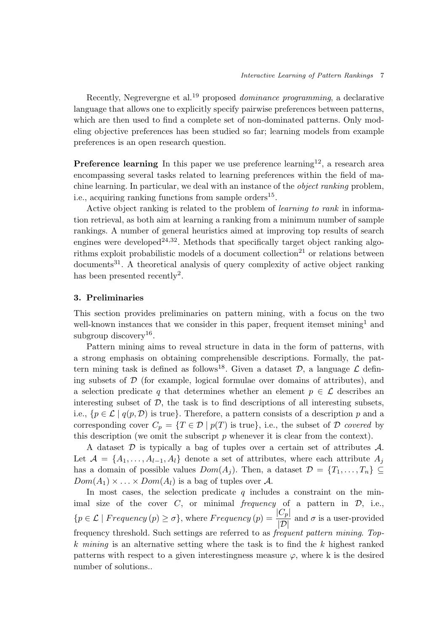Recently, Negrevergne et al.<sup>19</sup> proposed *dominance programming*, a declarative language that allows one to explicitly specify pairwise preferences between patterns, which are then used to find a complete set of non-dominated patterns. Only modeling objective preferences has been studied so far; learning models from example preferences is an open research question.

**Preference learning** In this paper we use preference learning<sup>12</sup>, a research area encompassing several tasks related to learning preferences within the field of machine learning. In particular, we deal with an instance of the *object ranking* problem, i.e., acquiring ranking functions from sample orders<sup>15</sup>.

Active object ranking is related to the problem of *learning to rank* in information retrieval, as both aim at learning a ranking from a minimum number of sample rankings. A number of general heuristics aimed at improving top results of search engines were developed<sup>24,32</sup>. Methods that specifically target object ranking algorithms exploit probabilistic models of a document collection<sup>21</sup> or relations between documents<sup>31</sup>. A theoretical analysis of query complexity of active object ranking has been presented recently<sup>2</sup>.

## 3. Preliminaries

This section provides preliminaries on pattern mining, with a focus on the two well-known instances that we consider in this paper, frequent itemset mining<sup>1</sup> and subgroup discovery<sup>16</sup>.

Pattern mining aims to reveal structure in data in the form of patterns, with a strong emphasis on obtaining comprehensible descriptions. Formally, the pattern mining task is defined as follows<sup>18</sup>. Given a dataset  $D$ , a language  $\mathcal L$  defining subsets of  $D$  (for example, logical formulae over domains of attributes), and a selection predicate q that determines whether an element  $p \in \mathcal{L}$  describes an interesting subset of  $D$ , the task is to find descriptions of all interesting subsets, i.e.,  $\{p \in \mathcal{L} \mid q(p, \mathcal{D})\}$  is true}. Therefore, a pattern consists of a description p and a corresponding cover  $C_p = \{T \in \mathcal{D} \mid p(T) \text{ is true}\},\$ i.e., the subset of  $\mathcal D$  *covered* by this description (we omit the subscript *p* whenever it is clear from the context).

A dataset *D* is typically a bag of tuples over a certain set of attributes *A*. Let  $A = \{A_1, \ldots, A_{l-1}, A_l\}$  denote a set of attributes, where each attribute  $A_j$ has a domain of possible values  $Dom(A_i)$ . Then, a dataset  $\mathcal{D} = \{T_1, \ldots, T_n\} \subseteq$  $Dom(A_1) \times ... \times Dom(A_l)$  is a bag of tuples over A.

In most cases, the selection predicate  $q$  includes a constraint on the minimal size of the cover  $C$ , or minimal *frequency* of a pattern in  $D$ , i.e.,  ${p \in \mathcal{L} \mid Frequency(p) \geq \sigma},$  where  $Frequency(p) = \frac{|C_p|}{|\mathcal{D}|}$  and  $\sigma$  is a user-provided frequency threshold. Such settings are referred to as *frequent pattern mining*. *Topk mining* is an alternative setting where the task is to find the *k* highest ranked patterns with respect to a given interestingness measure  $\varphi$ , where k is the desired number of solutions..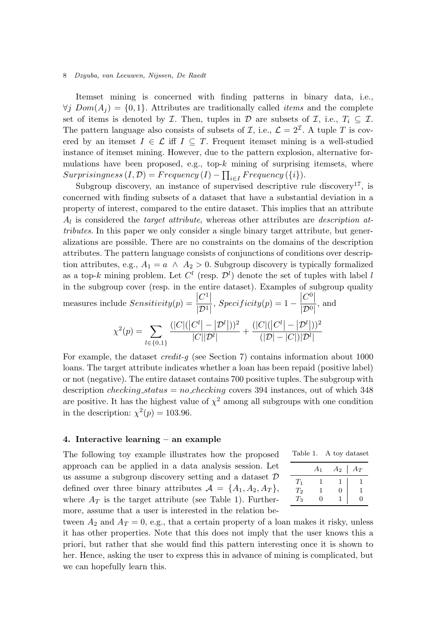Itemset mining is concerned with finding patterns in binary data, i.e.,  $\forall j \; Dom(A_j) = \{0,1\}.$  Attributes are traditionally called *items* and the complete set of items is denoted by *I*. Then, tuples in *D* are subsets of *I*, i.e.,  $T_i \subset I$ . The pattern language also consists of subsets of *I*, i.e.,  $\mathcal{L} = 2^{\mathcal{I}}$ . A tuple *T* is covered by an itemset  $I \in \mathcal{L}$  iff  $I \subseteq T$ . Frequent itemset mining is a well-studied instance of itemset mining. However, due to the pattern explosion, alternative formulations have been proposed, e.g., top-*k* mining of surprising itemsets, where  $Surrprisingness(I, D) = Frequency(I) - \prod_{i \in I} Frequency(\{i\}).$ 

Subgroup discovery, an instance of supervised descriptive rule discovery<sup>17</sup>, is concerned with finding subsets of a dataset that have a substantial deviation in a property of interest, compared to the entire dataset. This implies that an attribute *A<sup>l</sup>* is considered the *target attribute*, whereas other attributes are *description attributes*. In this paper we only consider a single binary target attribute, but generalizations are possible. There are no constraints on the domains of the description attributes. The pattern language consists of conjunctions of conditions over description attributes, e.g.,  $A_1 = a \land A_2 > 0$ . Subgroup discovery is typically formalized as a top-*k* mining problem. Let  $C^l$  (resp.  $\mathcal{D}^l$ ) denote the set of tuples with label *l* in the subgroup cover (resp. in the entire dataset). Examples of subgroup quality measures include *Sensitivity*(*p*) =  $|C^1|$  $\frac{|D|}{|D^1|}$ , *Specificity* $(p) = 1 |C^0|$  $\frac{1}{|D^0|}$ , and  $\begin{array}{c} \hline \end{array}$  $\overline{\phantom{a}}$  $\begin{array}{c} \hline \end{array}$  $\overline{\phantom{a}}$  $\overline{\phantom{a}}$  $\overline{\phantom{a}}$ 

$$
\chi^{2}(p) = \sum_{l \in \{0,1\}} \frac{(|C|(|C^{l}|-|\mathcal{D}^{l}|))^2}{|C||\mathcal{D}^{l}|} + \frac{(|C|(|C^{l}|-|\mathcal{D}^{l}|))^2}{(|\mathcal{D}|-|C|)|\mathcal{D}^{l}|}
$$

For example, the dataset *credit-g* (see Section 7) contains information about 1000 loans. The target attribute indicates whether a loan has been repaid (positive label) or not (negative). The entire dataset contains 700 positive tuples. The subgroup with description *checking\_status* = *no\_checking* covers 394 instances, out of which 348 are positive. It has the highest value of  $\chi^2$  among all subgroups with one condition in the description:  $\chi^2(p) = 103.96$ .

# 4. Interactive learning – an example

The following toy example illustrates how the proposed approach can be applied in a data analysis session. Let us assume a subgroup discovery setting and a dataset *D* defined over three binary attributes  $A = \{A_1, A_2, A_T\}$ , where  $A_T$  is the target attribute (see Table 1). Furthermore, assume that a user is interested in the relation be-

| Table 1. A toy dataset |  |  |  |
|------------------------|--|--|--|
|                        |  |  |  |

|                    | $A_1$ | $A_2$ | $A_{T}$ |
|--------------------|-------|-------|---------|
| $T_1$              |       |       |         |
| $T_2$              |       | O     |         |
| $\scriptstyle T_3$ | 0     |       | 0       |
|                    |       |       |         |

tween  $A_2$  and  $A_T = 0$ , e.g., that a certain property of a loan makes it risky, unless it has other properties. Note that this does not imply that the user knows this a priori, but rather that she would find this pattern interesting once it is shown to her. Hence, asking the user to express this in advance of mining is complicated, but we can hopefully learn this.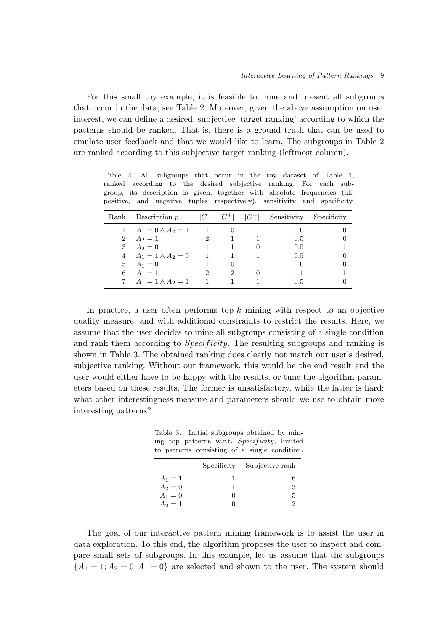For this small toy example, it is feasible to mine and present all subgroups that occur in the data; see Table 2. Moreover, given the above assumption on user interest, we can define a desired, subjective 'target ranking' according to which the patterns should be ranked. That is, there is a ground truth that can be used to emulate user feedback and that we would like to learn. The subgroups in Table 2 are ranked according to this subjective target ranking (leftmost column).

Table 2. All subgroups that occur in the toy dataset of Table 1, ranked according to the desired subjective ranking. For each subgroup, its description is given, together with absolute frequencies (all, positive, and negative tuples respectively), sensitivity and specificity.

| Rank           | Description $p$            |   |          | $ C^{-} $        | Sensitivity | Specificity |
|----------------|----------------------------|---|----------|------------------|-------------|-------------|
|                | 1 $A_1 = 0 \wedge A_2 = 1$ |   | $\theta$ |                  |             |             |
| $\overline{2}$ | $A_2 = 1$                  | 2 |          |                  | 0.5         |             |
| 3              | $A_2 = 0$                  |   |          |                  | 0.5         |             |
|                | 4 $A_1 = 1 \wedge A_2 = 0$ |   |          |                  | 0.5         |             |
|                | 5 $A_1 = 0$                |   | 0        |                  |             |             |
| 6              | $A_1 = 1$                  | 2 | 2        | $\left( \right)$ |             |             |
|                | 7 $A_1 = 1 \wedge A_2 = 1$ |   |          |                  | 0.5         |             |

In practice, a user often performs top-*k* mining with respect to an objective quality measure, and with additional constraints to restrict the results. Here, we assume that the user decides to mine all subgroups consisting of a single condition and rank them according to *Specif icity*. The resulting subgroups and ranking is shown in Table 3. The obtained ranking does clearly not match our user's desired, subjective ranking. Without our framework, this would be the end result and the user would either have to be happy with the results, or tune the algorithm parameters based on these results. The former is unsatisfactory, while the latter is hard: what other interestingness measure and parameters should we use to obtain more interesting patterns?

Table 3. Initial subgroups obtained by mining top patterns w.r.t. *Specif icity*, limited to patterns consisting of a single condition.

|           | Specificity Subjective rank |
|-----------|-----------------------------|
| $A_1 = 1$ |                             |
| $A_2 = 0$ | 3                           |
| $A_1 = 0$ | 5                           |
| $A_2 = 1$ |                             |

The goal of our interactive pattern mining framework is to assist the user in data exploration. To this end, the algorithm proposes the user to inspect and compare small sets of subgroups. In this example, let us assume that the subgroups  ${A_1 = 1; A_2 = 0; A_1 = 0}$  are selected and shown to the user. The system should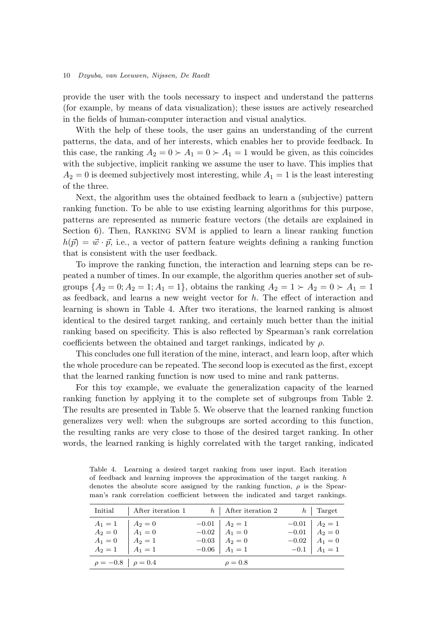provide the user with the tools necessary to inspect and understand the patterns (for example, by means of data visualization); these issues are actively researched in the fields of human-computer interaction and visual analytics.

With the help of these tools, the user gains an understanding of the current patterns, the data, and of her interests, which enables her to provide feedback. In this case, the ranking  $A_2 = 0 \succ A_1 = 0 \succ A_1 = 1$  would be given, as this coincides with the subjective, implicit ranking we assume the user to have. This implies that  $A_2 = 0$  is deemed subjectively most interesting, while  $A_1 = 1$  is the least interesting of the three.

Next, the algorithm uses the obtained feedback to learn a (subjective) pattern ranking function. To be able to use existing learning algorithms for this purpose, patterns are represented as numeric feature vectors (the details are explained in Section 6). Then, RANKING SVM is applied to learn a linear ranking function  $h(\vec{p}) = \vec{w} \cdot \vec{p}$ , i.e., a vector of pattern feature weights defining a ranking function that is consistent with the user feedback.

To improve the ranking function, the interaction and learning steps can be repeated a number of times. In our example, the algorithm queries another set of subgroups  $\{A_2 = 0; A_2 = 1; A_1 = 1\}$ , obtains the ranking  $A_2 = 1 \succ A_2 = 0 \succ A_1 = 1$ as feedback, and learns a new weight vector for *h*. The effect of interaction and learning is shown in Table 4. After two iterations, the learned ranking is almost identical to the desired target ranking, and certainly much better than the initial ranking based on specificity. This is also reflected by Spearman's rank correlation coefficients between the obtained and target rankings, indicated by  $\rho$ .

This concludes one full iteration of the mine, interact, and learn loop, after which the whole procedure can be repeated. The second loop is executed as the first, except that the learned ranking function is now used to mine and rank patterns.

For this toy example, we evaluate the generalization capacity of the learned ranking function by applying it to the complete set of subgroups from Table 2. The results are presented in Table 5. We observe that the learned ranking function generalizes very well: when the subgroups are sorted according to this function, the resulting ranks are very close to those of the desired target ranking. In other words, the learned ranking is highly correlated with the target ranking, indicated

Table 4. Learning a desired target ranking from user input. Each iteration of feedback and learning improves the approximation of the target ranking. *h* denotes the absolute score assigned by the ranking function,  $\rho$  is the Spearman's rank correlation coefficient between the indicated and target rankings.

|           | Initial   After iteration 1     | $h$ After iteration 2 | $h$ Target          |
|-----------|---------------------------------|-----------------------|---------------------|
| $A_1 = 1$ | $A_2 = 0$                       | $-0.01$   $A_2 = 1$   | $-0.01$   $A_2 = 1$ |
|           | $A_2 = 0 \quad   \quad A_1 = 0$ | $-0.02$ $A_1 = 0$     | $-0.01$ $A_2 = 0$   |
| $A_1 = 0$ | $A_2 = 1$                       | $-0.03$   $A_2 = 0$   | $-0.02$   $A_1 = 0$ |
| $A_2 = 1$ | $A_1 = 1$                       | $-0.06$ $A_1 = 1$     | $-0.1$ $A_1 = 1$    |
|           | $\rho = -0.8$   $\rho = 0.4$    | $\rho = 0.8$          |                     |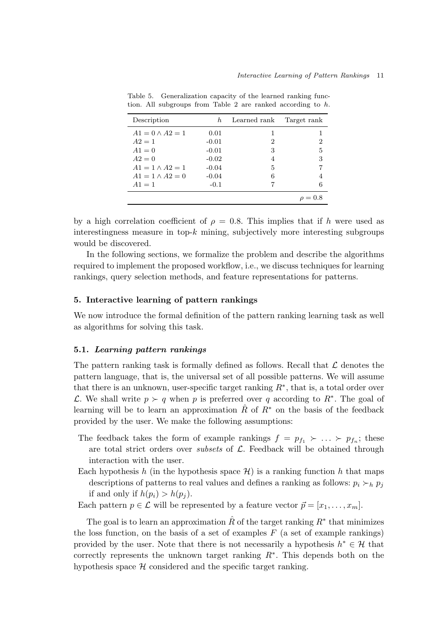| Description            | h.      | Learned rank | Target rank  |
|------------------------|---------|--------------|--------------|
| $A1 = 0 \wedge A2 = 1$ | 0.01    |              |              |
| $A2 = 1$               | $-0.01$ | 2            | 2            |
| $A1 = 0$               | $-0.01$ | 3            | 5            |
| $A2 = 0$               | $-0.02$ | 4            | 3            |
| $A1 = 1 \wedge A2 = 1$ | $-0.04$ | 5            |              |
| $A1 = 1 \wedge A2 = 0$ | $-0.04$ | 6            | 4            |
| $A1 = 1$               | $-0.1$  |              | 6            |
|                        |         |              | $\rho = 0.8$ |

Table 5. Generalization capacity of the learned ranking function. All subgroups from Table 2 are ranked according to *h*.

by a high correlation coefficient of  $\rho = 0.8$ . This implies that if *h* were used as interestingness measure in top-*k* mining, subjectively more interesting subgroups would be discovered.

In the following sections, we formalize the problem and describe the algorithms required to implement the proposed workflow, i.e., we discuss techniques for learning rankings, query selection methods, and feature representations for patterns.

# 5. Interactive learning of pattern rankings

We now introduce the formal definition of the pattern ranking learning task as well as algorithms for solving this task.

# 5.1. *Learning pattern rankings*

The pattern ranking task is formally defined as follows. Recall that *L* denotes the pattern language, that is, the universal set of all possible patterns. We will assume that there is an unknown, user-specific target ranking  $R^*$ , that is, a total order over *L*. We shall write  $p \succ q$  when *p* is preferred over *q* according to  $R^*$ . The goal of learning will be to learn an approximation  $\hat{R}$  of  $R^*$  on the basis of the feedback provided by the user. We make the following assumptions:

- The feedback takes the form of example rankings  $f = p_{f_1} \succ \ldots \succ p_{f_n}$ ; these are total strict orders over *subsets* of *L*. Feedback will be obtained through interaction with the user.
- Each hypothesis *h* (in the hypothesis space  $\mathcal{H}$ ) is a ranking function *h* that maps descriptions of patterns to real values and defines a ranking as follows:  $p_i \succ_h p_j$ if and only if  $h(p_i) > h(p_i)$ .
- Each pattern  $p \in \mathcal{L}$  will be represented by a feature vector  $\vec{p} = [x_1, \ldots, x_m].$

The goal is to learn an approximation  $\hat{R}$  of the target ranking  $R^*$  that minimizes the loss function, on the basis of a set of examples  $F$  (a set of example rankings) provided by the user. Note that there is not necessarily a hypothesis  $h^* \in \mathcal{H}$  that correctly represents the unknown target ranking  $R^*$ . This depends both on the hypothesis space  $H$  considered and the specific target ranking.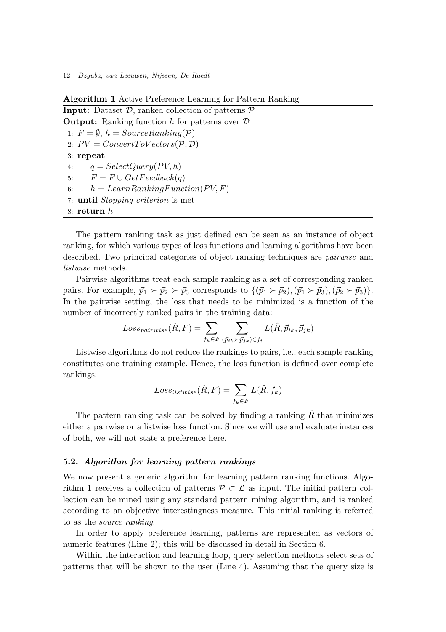```
Algorithm 1 Active Preference Learning for Pattern Ranking
Input: Dataset D, ranked collection of patterns P
Output: Ranking function h for patterns over D
 1: F = \emptyset, h = SourceRanking(\mathcal{P})2: PV = ConvertToVectors(P, D)3: repeat
 4: q = SelectQuery(PV, h)5: F = F \cup GetFeedback(q)6: h = LearnRankingFunction(PV, F)7: until Stopping criterion is met
 8: return h
```
The pattern ranking task as just defined can be seen as an instance of object ranking, for which various types of loss functions and learning algorithms have been described. Two principal categories of object ranking techniques are *pairwise* and *listwise* methods.

Pairwise algorithms treat each sample ranking as a set of corresponding ranked pairs. For example,  $\vec{p}_1 \succ \vec{p}_2 \succ \vec{p}_3$  corresponds to  $\{(\vec{p}_1 \succ \vec{p}_2), (\vec{p}_1 \succ \vec{p}_3), (\vec{p}_2 \succ \vec{p}_3)\}.$ In the pairwise setting, the loss that needs to be minimized is a function of the number of incorrectly ranked pairs in the training data:

$$
Loss_{pairwise}(\hat{R}, F) = \sum_{f_k \in F} \sum_{(\vec{p}_{ik} \succ \vec{p}_{jk}) \in f_i} L(\hat{R}, \vec{p}_{ik}, \vec{p}_{jk})
$$

Listwise algorithms do not reduce the rankings to pairs, i.e., each sample ranking constitutes one training example. Hence, the loss function is defined over complete rankings:

$$
Loss_{listwise}(\hat{R}, F) = \sum_{f_k \in F} L(\hat{R}, f_k)
$$

The pattern ranking task can be solved by finding a ranking  $\hat{R}$  that minimizes either a pairwise or a listwise loss function. Since we will use and evaluate instances of both, we will not state a preference here.

# 5.2. *Algorithm for learning pattern rankings*

We now present a generic algorithm for learning pattern ranking functions. Algorithm 1 receives a collection of patterns  $P \subset \mathcal{L}$  as input. The initial pattern collection can be mined using any standard pattern mining algorithm, and is ranked according to an objective interestingness measure. This initial ranking is referred to as the *source ranking*.

In order to apply preference learning, patterns are represented as vectors of numeric features (Line 2); this will be discussed in detail in Section 6.

Within the interaction and learning loop, query selection methods select sets of patterns that will be shown to the user (Line 4). Assuming that the query size is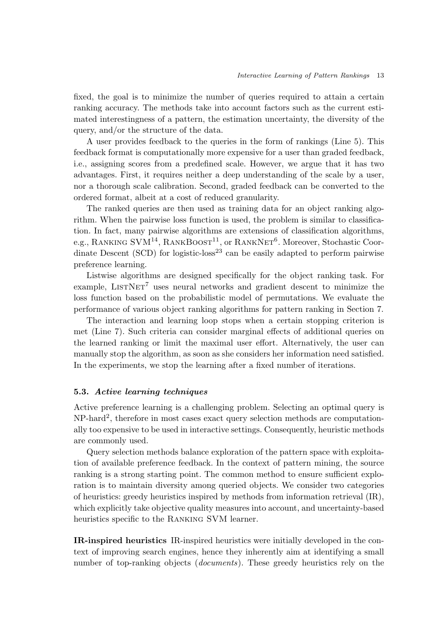fixed, the goal is to minimize the number of queries required to attain a certain ranking accuracy. The methods take into account factors such as the current estimated interestingness of a pattern, the estimation uncertainty, the diversity of the query, and/or the structure of the data.

A user provides feedback to the queries in the form of rankings (Line 5). This feedback format is computationally more expensive for a user than graded feedback, i.e., assigning scores from a predefined scale. However, we argue that it has two advantages. First, it requires neither a deep understanding of the scale by a user, nor a thorough scale calibration. Second, graded feedback can be converted to the ordered format, albeit at a cost of reduced granularity.

The ranked queries are then used as training data for an object ranking algorithm. When the pairwise loss function is used, the problem is similar to classification. In fact, many pairwise algorithms are extensions of classification algorithms, e.g., RANKING SVM<sup>14</sup>, RANKBOOST<sup>11</sup>, or RANKNET<sup>6</sup>. Moreover, Stochastic Coordinate Descent (SCD) for logistic-loss<sup>23</sup> can be easily adapted to perform pairwise preference learning.

Listwise algorithms are designed specifically for the object ranking task. For example,  $LISTNET<sup>7</sup>$  uses neural networks and gradient descent to minimize the loss function based on the probabilistic model of permutations. We evaluate the performance of various object ranking algorithms for pattern ranking in Section 7.

The interaction and learning loop stops when a certain stopping criterion is met (Line 7). Such criteria can consider marginal effects of additional queries on the learned ranking or limit the maximal user effort. Alternatively, the user can manually stop the algorithm, as soon as she considers her information need satisfied. In the experiments, we stop the learning after a fixed number of iterations.

## 5.3. *Active learning techniques*

Active preference learning is a challenging problem. Selecting an optimal query is NP-hard<sup>2</sup>, therefore in most cases exact query selection methods are computationally too expensive to be used in interactive settings. Consequently, heuristic methods are commonly used.

Query selection methods balance exploration of the pattern space with exploitation of available preference feedback. In the context of pattern mining, the source ranking is a strong starting point. The common method to ensure sufficient exploration is to maintain diversity among queried objects. We consider two categories of heuristics: greedy heuristics inspired by methods from information retrieval (IR), which explicitly take objective quality measures into account, and uncertainty-based heuristics specific to the Ranking SVM learner.

IR-inspired heuristics IR-inspired heuristics were initially developed in the context of improving search engines, hence they inherently aim at identifying a small number of top-ranking objects (*documents*). These greedy heuristics rely on the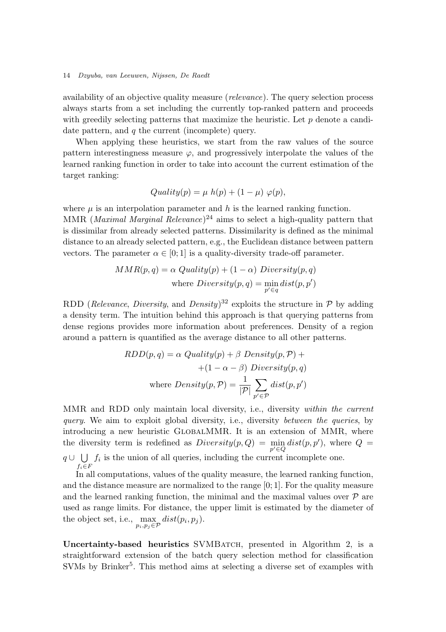availability of an objective quality measure (*relevance*). The query selection process always starts from a set including the currently top-ranked pattern and proceeds with greedily selecting patterns that maximize the heuristic. Let *p* denote a candidate pattern, and *q* the current (incomplete) query.

When applying these heuristics, we start from the raw values of the source pattern interestingness measure  $\varphi$ , and progressively interpolate the values of the learned ranking function in order to take into account the current estimation of the target ranking:

$$
Quality(p) = \mu h(p) + (1 - \mu) \varphi(p),
$$

where  $\mu$  is an interpolation parameter and  $h$  is the learned ranking function. MMR (*Maximal Marginal Relevance*)<sup>24</sup> aims to select a high-quality pattern that is dissimilar from already selected patterns. Dissimilarity is defined as the minimal distance to an already selected pattern, e.g., the Euclidean distance between pattern vectors. The parameter  $\alpha \in [0; 1]$  is a quality-diversity trade-off parameter.

$$
MMR(p,q) = \alpha \t\text{Quality}(p) + (1 - \alpha) \t\text{Diversity}(p,q)
$$
\n
$$
\text{where} \t\text{Diversity}(p,q) = \min_{p' \in q} dist(p, p')
$$

RDD (*Relevance*, *Diversity*, and *Density*)<sup>32</sup> exploits the structure in  $P$  by adding a density term. The intuition behind this approach is that querying patterns from dense regions provides more information about preferences. Density of a region around a pattern is quantified as the average distance to all other patterns.

$$
RDD(p,q) = \alpha \t\text{Quality}(p) + \beta \t\text{Density}(p, \mathcal{P}) + \left(1 - \alpha - \beta\right) \t\text{Diversity}(p, q)
$$
\n
$$
\text{where } Density(p, \mathcal{P}) = \frac{1}{|\mathcal{P}|} \sum_{p' \in \mathcal{P}} dist(p, p')
$$

MMR and RDD only maintain local diversity, i.e., diversity *within the current query*. We aim to exploit global diversity, i.e., diversity *between the queries*, by introducing a new heuristic GlobalMMR. It is an extension of MMR, where the diversity term is redefined as  $Diversity(p,Q) = \min_{n \geq 0}$  $p' \in Q$  $dist(p, p')$ , where  $Q =$  $q \cup \bigcup$  $f_i$  is the union of all queries, including the current incomplete one.

 $f_i \in F$ In all computations, values of the quality measure, the learned ranking function, and the distance measure are normalized to the range [0; 1]. For the quality measure and the learned ranking function, the minimal and the maximal values over  $\mathcal P$  are used as range limits. For distance, the upper limit is estimated by the diameter of the object set, i.e., max  $p_i, p_j \in \mathcal{P}$  $dist(p_i, p_j)$ .

Uncertainty-based heuristics SVMBATCH, presented in Algorithm 2, is a straightforward extension of the batch query selection method for classification SVMs by Brinker<sup>5</sup>. This method aims at selecting a diverse set of examples with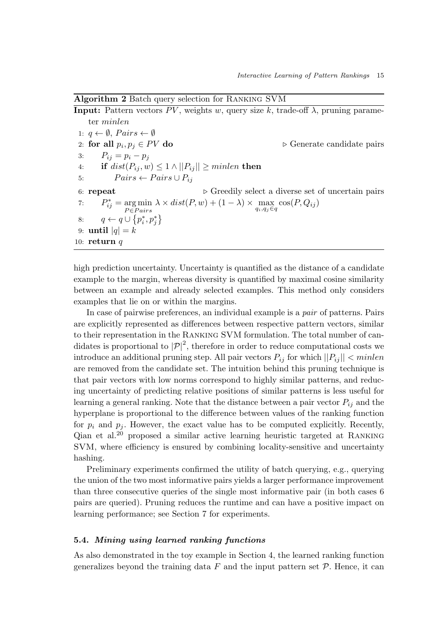Algorithm 2 Batch query selection for Ranking SVM

|    |                                                                | <b>Input:</b> Pattern vectors PV, weights w, query size k, trade-off $\lambda$ , pruning parame-                                                   |
|----|----------------------------------------------------------------|----------------------------------------------------------------------------------------------------------------------------------------------------|
|    | ter <i>minlen</i>                                              |                                                                                                                                                    |
|    | 1: $q \leftarrow \emptyset$ , $Pairs \leftarrow \emptyset$     |                                                                                                                                                    |
|    | 2: for all $p_i, p_j \in PV$ do                                | $\triangleright$ Generate candidate pairs                                                                                                          |
| 3: | $P_{ij} = p_i - p_j$                                           |                                                                                                                                                    |
| 4: | if $dist(P_{ij}, w) \leq 1 \wedge   P_{ij}   \geq minlen$ then |                                                                                                                                                    |
| 5: | $Pairs \leftarrow Pairs \cup P_{ij}$                           |                                                                                                                                                    |
|    | $6:$ repeat                                                    | $\triangleright$ Greedily select a diverse set of uncertain pairs                                                                                  |
|    |                                                                | 7: $P_{ij}^* = \underset{P \in Pairs}{\arg \min} \lambda \times dist(P, w) + (1 - \lambda) \times \underset{q_i, q_j \in q}{\max} \cos(P, Q_{ij})$ |
|    | 8: $q \leftarrow q \cup \{p_i^*, p_i^*\}$                      |                                                                                                                                                    |
|    | 9: until $ q =k$                                               |                                                                                                                                                    |
|    | 10: return $q$                                                 |                                                                                                                                                    |

high prediction uncertainty. Uncertainty is quantified as the distance of a candidate example to the margin, whereas diversity is quantified by maximal cosine similarity between an example and already selected examples. This method only considers examples that lie on or within the margins.

In case of pairwise preferences, an individual example is a *pair* of patterns. Pairs are explicitly represented as differences between respective pattern vectors, similar to their representation in the Ranking SVM formulation. The total number of candidates is proportional to  $|\mathcal{P}|^2$ , therefore in order to reduce computational costs we introduce an additional pruning step. All pair vectors  $P_{ij}$  for which  $||P_{ij}|| < minlen$ are removed from the candidate set. The intuition behind this pruning technique is that pair vectors with low norms correspond to highly similar patterns, and reducing uncertainty of predicting relative positions of similar patterns is less useful for learning a general ranking. Note that the distance between a pair vector  $P_{ij}$  and the hyperplane is proportional to the difference between values of the ranking function for  $p_i$  and  $p_j$ . However, the exact value has to be computed explicitly. Recently, Qian et al.<sup>20</sup> proposed a similar active learning heuristic targeted at Ranking SVM, where efficiency is ensured by combining locality-sensitive and uncertainty hashing.

Preliminary experiments confirmed the utility of batch querying, e.g., querying the union of the two most informative pairs yields a larger performance improvement than three consecutive queries of the single most informative pair (in both cases 6 pairs are queried). Pruning reduces the runtime and can have a positive impact on learning performance; see Section 7 for experiments.

## 5.4. *Mining using learned ranking functions*

As also demonstrated in the toy example in Section 4, the learned ranking function generalizes beyond the training data  $F$  and the input pattern set  $\mathcal P$ . Hence, it can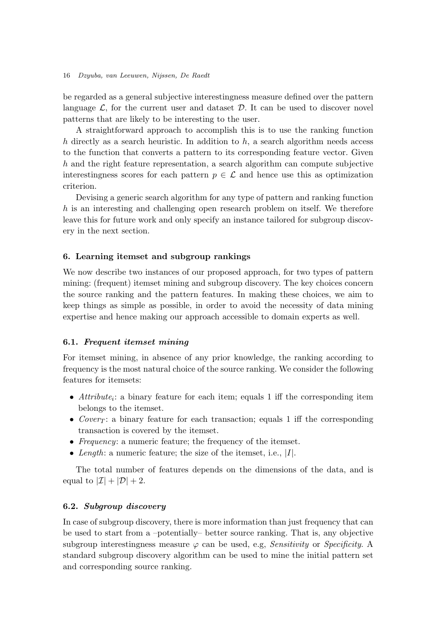be regarded as a general subjective interestingness measure defined over the pattern language  $\mathcal{L}$ , for the current user and dataset  $\mathcal{D}$ . It can be used to discover novel patterns that are likely to be interesting to the user.

A straightforward approach to accomplish this is to use the ranking function *h* directly as a search heuristic. In addition to *h*, a search algorithm needs access to the function that converts a pattern to its corresponding feature vector. Given *h* and the right feature representation, a search algorithm can compute subjective interestingness scores for each pattern  $p \in \mathcal{L}$  and hence use this as optimization criterion.

Devising a generic search algorithm for any type of pattern and ranking function *h* is an interesting and challenging open research problem on itself. We therefore leave this for future work and only specify an instance tailored for subgroup discovery in the next section.

## 6. Learning itemset and subgroup rankings

We now describe two instances of our proposed approach, for two types of pattern mining: (frequent) itemset mining and subgroup discovery. The key choices concern the source ranking and the pattern features. In making these choices, we aim to keep things as simple as possible, in order to avoid the necessity of data mining expertise and hence making our approach accessible to domain experts as well.

## 6.1. *Frequent itemset mining*

For itemset mining, in absence of any prior knowledge, the ranking according to frequency is the most natural choice of the source ranking. We consider the following features for itemsets:

- $Attribute_i$ : a binary feature for each item; equals 1 iff the corresponding item belongs to the itemset.
- *Cover* $\tau$ : a binary feature for each transaction; equals 1 iff the corresponding transaction is covered by the itemset.
- *• Frequency*: a numeric feature; the frequency of the itemset.
- *• Length*: a numeric feature; the size of the itemset, i.e., *|I|*.

The total number of features depends on the dimensions of the data, and is equal to  $|\mathcal{I}| + |\mathcal{D}| + 2$ .

## 6.2. *Subgroup discovery*

In case of subgroup discovery, there is more information than just frequency that can be used to start from a –potentially– better source ranking. That is, any objective subgroup interestingness measure  $\varphi$  can be used, e.g, *Sensitivity* or *Specificity*. A standard subgroup discovery algorithm can be used to mine the initial pattern set and corresponding source ranking.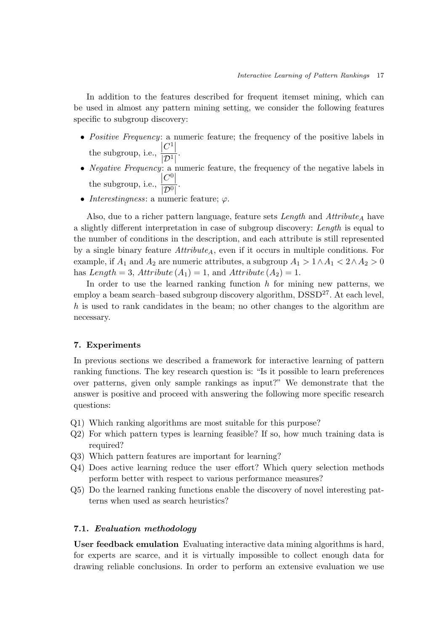In addition to the features described for frequent itemset mining, which can be used in almost any pattern mining setting, we consider the following features specific to subgroup discovery:

- *Positive Frequency*: a numeric feature; the frequency of the positive labels in the subgroup, i.e.,  $|C^1|$  $\frac{1}{|D^1|}$ .
- *Negative Frequency*: a numeric feature, the frequency of the negative labels in the subgroup, i.e.,  $|C^0|$  $\frac{1}{|D^0|}$ .
- *Interestingness*: a numeric feature;  $\varphi$ .

Also, due to a richer pattern language, feature sets *Length* and *Attribute<sup>A</sup>* have a slightly different interpretation in case of subgroup discovery: *Length* is equal to the number of conditions in the description, and each attribute is still represented by a single binary feature *AttributeA*, even if it occurs in multiple conditions. For example, if  $A_1$  and  $A_2$  are numeric attributes, a subgroup  $A_1 > 1 \wedge A_1 < 2 \wedge A_2 > 0$ has *Length* = 3, *Attribute*  $(A_1) = 1$ , and *Attribute*  $(A_2) = 1$ .

In order to use the learned ranking function *h* for mining new patterns, we employ a beam search–based subgroup discovery algorithm, DSSD<sup>27</sup>. At each level, *h* is used to rank candidates in the beam; no other changes to the algorithm are necessary.

## 7. Experiments

In previous sections we described a framework for interactive learning of pattern ranking functions. The key research question is: "Is it possible to learn preferences over patterns, given only sample rankings as input?" We demonstrate that the answer is positive and proceed with answering the following more specific research questions:

- Q1) Which ranking algorithms are most suitable for this purpose?
- Q2) For which pattern types is learning feasible? If so, how much training data is required?
- Q3) Which pattern features are important for learning?
- $Q_4$ ) Does active learning reduce the user effort? Which query selection methods perform better with respect to various performance measures?
- Q5) Do the learned ranking functions enable the discovery of novel interesting patterns when used as search heuristics?

# 7.1. *Evaluation methodology*

User feedback emulation Evaluating interactive data mining algorithms is hard, for experts are scarce, and it is virtually impossible to collect enough data for drawing reliable conclusions. In order to perform an extensive evaluation we use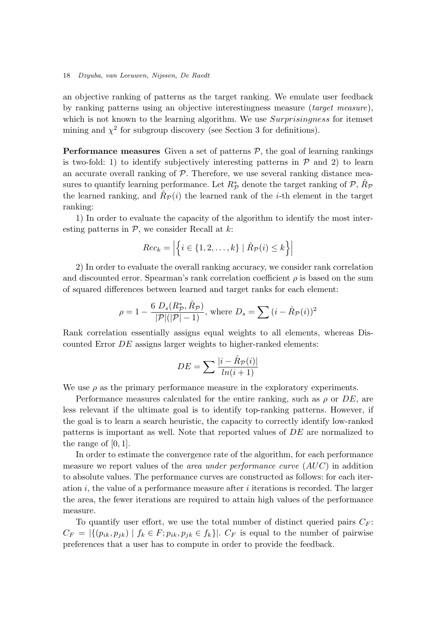an objective ranking of patterns as the target ranking. We emulate user feedback by ranking patterns using an objective interestingness measure (*target measure*), which is not known to the learning algorithm. We use *Surprisingness* for itemset mining and  $\chi^2$  for subgroup discovery (see Section 3 for definitions).

**Performance measures** Given a set of patterns  $P$ , the goal of learning rankings is two-fold: 1) to identify subjectively interesting patterns in  $P$  and 2) to learn an accurate overall ranking of  $P$ . Therefore, we use several ranking distance measures to quantify learning performance. Let  $R^*_{\mathcal{P}}$  denote the target ranking of  $\mathcal{P}, \hat{R}_{\mathcal{P}}$ the learned ranking, and  $R_P(i)$  the learned rank of the *i*-th element in the target ranking:

1) In order to evaluate the capacity of the algorithm to identify the most interesting patterns in *P*, we consider Recall at *k*:

$$
Rec_k = \left| \left\{ i \in \{1, 2, \dots, k\} \mid \hat{R}_{\mathcal{P}}(i) \leq k \right\} \right|
$$

2) In order to evaluate the overall ranking accuracy, we consider rank correlation and discounted error. Spearman's rank correlation coefficient  $\rho$  is based on the sum of squared differences between learned and target ranks for each element:

$$
\rho = 1 - \frac{6 D_s(R_{\mathcal{P}}^*, \hat{R}_{\mathcal{P}})}{|\mathcal{P}|(|\mathcal{P}| - 1)}, \text{ where } D_s = \sum_{i} (i - \hat{R}_{\mathcal{P}}(i))^2
$$

Rank correlation essentially assigns equal weights to all elements, whereas Discounted Error *DE* assigns larger weights to higher-ranked elements:

$$
DE = \sum \frac{|i - \hat{R}_{\mathcal{P}}(i)|}{ln(i+1)}
$$

We use  $\rho$  as the primary performance measure in the exploratory experiments.

Performance measures calculated for the entire ranking, such as  $\rho$  or  $DE$ , are less relevant if the ultimate goal is to identify top-ranking patterns. However, if the goal is to learn a search heuristic, the capacity to correctly identify low-ranked patterns is important as well. Note that reported values of *DE* are normalized to the range of  $[0, 1]$ .

In order to estimate the convergence rate of the algorithm, for each performance measure we report values of the *area under performance curve* (*AUC*) in addition to absolute values. The performance curves are constructed as follows: for each iteration *i*, the value of a performance measure after *i* iterations is recorded. The larger the area, the fewer iterations are required to attain high values of the performance measure.

To quantify user effort, we use the total number of distinct queried pairs  $C_F$ :  $C_F = |\{(p_{ik}, p_{ik}) | f_k \in F; p_{ik}, p_{jk} \in f_k\}|$ .  $C_F$  is equal to the number of pairwise preferences that a user has to compute in order to provide the feedback.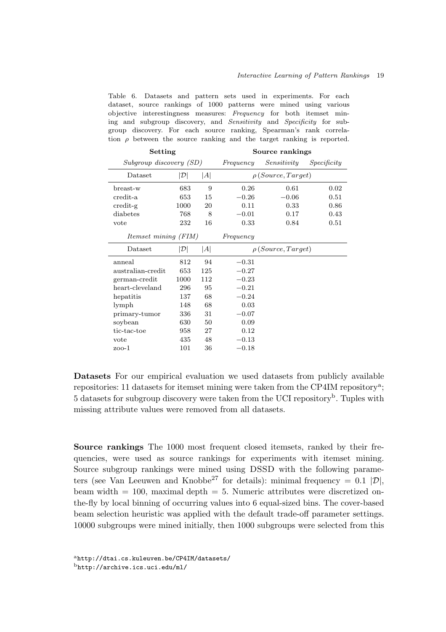Table 6. Datasets and pattern sets used in experiments. For each dataset, source rankings of 1000 patterns were mined using various objective interestingness measures: *Frequency* for both itemset mining and subgroup discovery, and *Sensitivity* and *Specificity* for subgroup discovery. For each source ranking, Spearman's rank correlation  $\rho$  between the source ranking and the target ranking is reported.

| Setting                     |     | Source rankings         |             |                                                  |  |
|-----------------------------|-----|-------------------------|-------------|--------------------------------------------------|--|
|                             |     | Frequency               | Sensitivity | Specificity                                      |  |
| $ \mathcal{D} $             | A   |                         |             |                                                  |  |
| 683                         | 9   | 0.26                    | 0.61        | 0.02                                             |  |
| 653                         | 15  | $-0.26$                 | $-0.06$     | 0.51                                             |  |
| 1000                        | 20  | 0.11                    | 0.33        | 0.86                                             |  |
| 768                         | 8   | $-0.01$                 | 0.17        | 0.43                                             |  |
| 232                         | 16  | 0.33                    | 0.84        | 0.51                                             |  |
| <i>Itemset mining (FIM)</i> |     | Frequency               |             |                                                  |  |
| $ \mathcal{D} $             | A   |                         |             |                                                  |  |
| 812                         | 94  | $-0.31$                 |             |                                                  |  |
| 653                         | 125 | $-0.27$                 |             |                                                  |  |
| 1000                        | 112 | $-0.23$                 |             |                                                  |  |
| 296                         | 95  | $-0.21$                 |             |                                                  |  |
| 137                         | 68  | $-0.24$                 |             |                                                  |  |
| 148                         | 68  | 0.03                    |             |                                                  |  |
| 336                         | 31  | $-0.07$                 |             |                                                  |  |
| 630                         | 50  | 0.09                    |             |                                                  |  |
| 958                         | 27  | 0.12                    |             |                                                  |  |
| 435                         | 48  | $-0.13$                 |             |                                                  |  |
| 101                         | 36  | $-0.18$                 |             |                                                  |  |
|                             |     | Subgroup discovery (SD) |             | $\rho(Source, Target)$<br>$\rho(Source, Target)$ |  |

Datasets For our empirical evaluation we used datasets from publicly available repositories: 11 datasets for itemset mining were taken from the CP4IM repository<sup>a</sup>; 5 datasets for subgroup discovery were taken from the UCI repository<sup>b</sup>. Tuples with missing attribute values were removed from all datasets.

Source rankings The 1000 most frequent closed itemsets, ranked by their frequencies, were used as source rankings for experiments with itemset mining. Source subgroup rankings were mined using DSSD with the following parameters (see Van Leeuwen and Knobbe<sup>27</sup> for details): minimal frequency = 0.1  $|\mathcal{D}|$ , beam width  $= 100$ , maximal depth  $= 5$ . Numeric attributes were discretized onthe-fly by local binning of occurring values into 6 equal-sized bins. The cover-based beam selection heuristic was applied with the default trade-off parameter settings. 10000 subgroups were mined initially, then 1000 subgroups were selected from this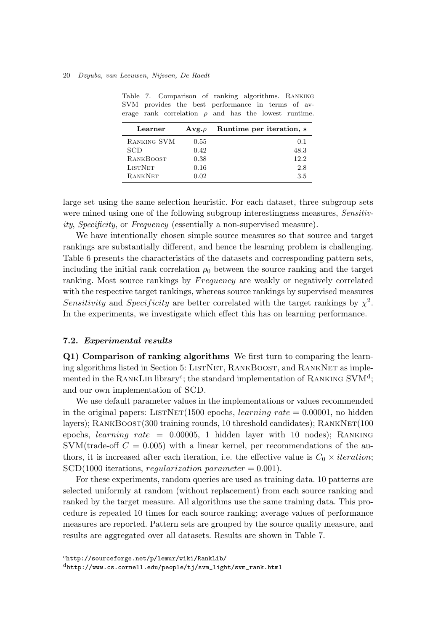| Learner        | $Avg.\rho$ | Runtime per iteration, s |
|----------------|------------|--------------------------|
| RANKING SVM    | 0.55       | 0.1                      |
| <b>SCD</b>     | 0.42       | 48.3                     |
| RANKBOOST      | 0.38       | 12.2                     |
| <b>LISTNET</b> | 0.16       | 2.8                      |
| RANKNET        | 0.02       | 3.5                      |

Table 7. Comparison of ranking algorithms. Ranking SVM provides the best performance in terms of average rank correlation  $\rho$  and has the lowest runtime.

large set using the same selection heuristic. For each dataset, three subgroup sets were mined using one of the following subgroup interestingness measures, *Sensitivity*, *Specificity*, or *Frequency* (essentially a non-supervised measure).

We have intentionally chosen simple source measures so that source and target rankings are substantially different, and hence the learning problem is challenging. Table 6 presents the characteristics of the datasets and corresponding pattern sets, including the initial rank correlation  $\rho_0$  between the source ranking and the target ranking. Most source rankings by *Frequency* are weakly or negatively correlated with the respective target rankings, whereas source rankings by supervised measures *Sensitivity* and *Specificity* are better correlated with the target rankings by  $\chi^2$ . In the experiments, we investigate which effect this has on learning performance.

## 7.2. *Experimental results*

Q1) Comparison of ranking algorithms We first turn to comparing the learning algorithms listed in Section 5: LISTNET, RANKBOOST, and RANKNET as implemented in the RANKLIB library<sup>c</sup>; the standard implementation of RANKING SVM<sup>d</sup>; and our own implementation of SCD.

We use default parameter values in the implementations or values recommended in the original papers: LISTNET(1500 epochs, *learning rate*  $= 0.00001$ , no hidden layers);  $RANKBoost(300 training rounds, 10 threshold candidates)$ ;  $RANKNET(100$ epochs, *learning rate* = 0*.*00005, 1 hidden layer with 10 nodes); Ranking  $\text{SVM}(\text{trade-off } C = 0.005)$  with a linear kernel, per recommendations of the authors, it is increased after each iteration, i.e. the effective value is  $C_0 \times iteration;$ SCD(1000 iterations, *regularization parameter* = 0*.*001).

For these experiments, random queries are used as training data. 10 patterns are selected uniformly at random (without replacement) from each source ranking and ranked by the target measure. All algorithms use the same training data. This procedure is repeated 10 times for each source ranking; average values of performance measures are reported. Pattern sets are grouped by the source quality measure, and results are aggregated over all datasets. Results are shown in Table 7.

<sup>c</sup>http://sourceforge.net/p/lemur/wiki/RankLib/ <sup>d</sup>http://www.cs.cornell.edu/people/tj/svm\_light/svm\_rank.html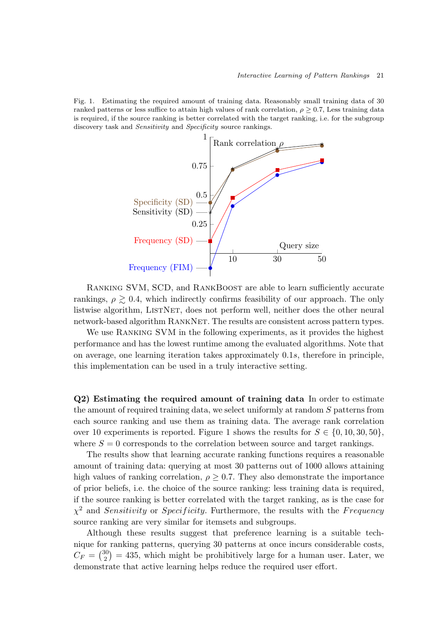Fig. 1. Estimating the required amount of training data. Reasonably small training data of 30 ranked patterns or less suffice to attain high values of rank correlation,  $\rho > 0.7$ , Less training data is required, if the source ranking is better correlated with the target ranking, i.e. for the subgroup discovery task and *Sensitivity* and *Specificity* source rankings.



RANKING SVM, SCD, and RANKBOOST are able to learn sufficiently accurate rankings,  $\rho \geq 0.4$ , which indirectly confirms feasibility of our approach. The only listwise algorithm, LISTNET, does not perform well, neither does the other neural network-based algorithm RANKNET. The results are consistent across pattern types.

We use RANKING SVM in the following experiments, as it provides the highest performance and has the lowest runtime among the evaluated algorithms. Note that on average, one learning iteration takes approximately 0*.*1*s*, therefore in principle, this implementation can be used in a truly interactive setting.

Q2) Estimating the required amount of training data In order to estimate the amount of required training data, we select uniformly at random *S* patterns from each source ranking and use them as training data. The average rank correlation over 10 experiments is reported. Figure 1 shows the results for  $S \in \{0, 10, 30, 50\}$ , where  $S = 0$  corresponds to the correlation between source and target rankings.

The results show that learning accurate ranking functions requires a reasonable amount of training data: querying at most 30 patterns out of 1000 allows attaining high values of ranking correlation,  $\rho \geq 0.7$ . They also demonstrate the importance of prior beliefs, i.e. the choice of the source ranking: less training data is required, if the source ranking is better correlated with the target ranking, as is the case for  $\chi^2$  and *Sensitivity* or *Specificity*. Furthermore, the results with the *F requency* source ranking are very similar for itemsets and subgroups.

Although these results suggest that preference learning is a suitable technique for ranking patterns, querying 30 patterns at once incurs considerable costs,  $C_F = \binom{30}{2} = 435$ , which might be prohibitively large for a human user. Later, we demonstrate that active learning helps reduce the required user effort.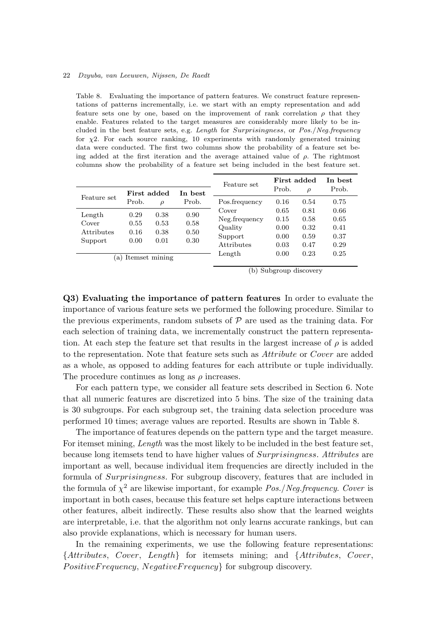Table 8. Evaluating the importance of pattern features. We construct feature representations of patterns incrementally, i.e. we start with an empty representation and add feature sets one by one, based on the improvement of rank correlation  $\rho$  that they enable. Features related to the target measures are considerably more likely to be included in the best feature sets, e.g. *Length* for *Surprisingness*, or *Pos.*/*Neg.frequency* for  $\chi$ 2. For each source ranking, 10 experiments with randomly generated training data were conducted. The first two columns show the probability of a feature set being added at the first iteration and the average attained value of  $\rho$ . The rightmost columns show the probability of a feature set being included in the best feature set.

|                     |       |        |         | Feature set       | First added |        | In best |
|---------------------|-------|--------|---------|-------------------|-------------|--------|---------|
| First added         |       |        | In best |                   | Prob.       | $\rho$ | Prob.   |
| Feature set         | Prob. | $\rho$ | Prob.   | Pos.frequency     | 0.16        | 0.54   | 0.75    |
| Length              | 0.29  | 0.38   | 0.90    | Cover             | 0.65        | 0.81   | 0.66    |
|                     |       |        |         | Neg.frequency     | 0.15        | 0.58   | 0.65    |
| Cover               | 0.55  | 0.53   | 0.58    | Quality           | 0.00        | 0.32   | 0.41    |
| Attributes          | 0.16  | 0.38   | 0.50    | Support           | 0.00        | 0.59   | 0.37    |
| Support             | 0.00  | 0.01   | 0.30    | <b>Attributes</b> | 0.03        | 0.47   | 0.29    |
| Itemset mining<br>a |       |        | Length  | 0.00              | 0.23        | 0.25   |         |

(b) Subgroup discovery

Q3) Evaluating the importance of pattern features In order to evaluate the importance of various feature sets we performed the following procedure. Similar to the previous experiments, random subsets of  $P$  are used as the training data. For each selection of training data, we incrementally construct the pattern representation. At each step the feature set that results in the largest increase of  $\rho$  is added to the representation. Note that feature sets such as *Attribute* or *Cover* are added as a whole, as opposed to adding features for each attribute or tuple individually. The procedure continues as long as  $\rho$  increases.

For each pattern type, we consider all feature sets described in Section 6. Note that all numeric features are discretized into 5 bins. The size of the training data is 30 subgroups. For each subgroup set, the training data selection procedure was performed 10 times; average values are reported. Results are shown in Table 8.

The importance of features depends on the pattern type and the target measure. For itemset mining, *Length* was the most likely to be included in the best feature set, because long itemsets tend to have higher values of *Surprisingness*. *Attributes* are important as well, because individual item frequencies are directly included in the formula of *Surprisingness*. For subgroup discovery, features that are included in the formula of  $\chi^2$  are likewise important, for example *Pos.*/*Neg.frequency. Cover* is important in both cases, because this feature set helps capture interactions between other features, albeit indirectly. These results also show that the learned weights are interpretable, i.e. that the algorithm not only learns accurate rankings, but can also provide explanations, which is necessary for human users.

In the remaining experiments, we use the following feature representations: *{Attributes*, *Cover*, *Length}* for itemsets mining; and *{Attributes*, *Cover*, *P ositiveF requency*, *NegativeF requency}* for subgroup discovery.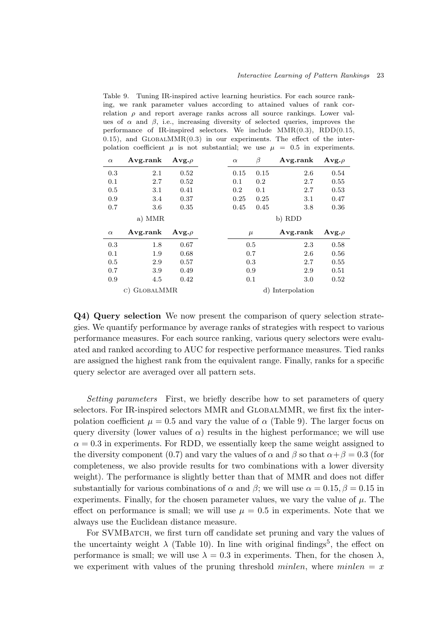Table 9. Tuning IR-inspired active learning heuristics. For each source ranking, we rank parameter values according to attained values of rank correlation  $\rho$  and report average ranks across all source rankings. Lower values of  $\alpha$  and  $\beta$ , i.e., increasing diversity of selected queries, improves the performance of IR-inspired selectors. We include MMR(0.3), RDD(0.15, 0.15), and  $GLOBALMMR(0.3)$  in our experiments. The effect of the interpolation coefficient  $\mu$  is not substantial; we use  $\mu = 0.5$  in experiments.

| $\alpha$ | Avg.rank | Avg. $\rho$ | $\alpha$ | β     | Avg.rank | Avg. $\rho$ |
|----------|----------|-------------|----------|-------|----------|-------------|
| 0.3      | 2.1      | 0.52        | 0.15     | 0.15  | 2.6      | 0.54        |
| 0.1      | 2.7      | 0.52        | 0.1      | 0.2   | 2.7      | 0.55        |
| 0.5      | $3.1\,$  | 0.41        | 0.2      | 0.1   | 2.7      | 0.53        |
| 0.9      | 3.4      | 0.37        | 0.25     | 0.25  | 3.1      | 0.47        |
| 0.7      | 3.6      | 0.35        | 0.45     | 0.45  | 3.8      | 0.36        |
|          | a) MMR   |             |          |       | b) RDD   |             |
|          |          |             |          |       |          |             |
| $\alpha$ | Avg.rank | Avg. $\rho$ |          | $\mu$ | Avg.rank | $Avg.\rho$  |
| 0.3      | 1.8      | 0.67        |          | 0.5   | 2.3      | 0.58        |
| 0.1      | 1.9      | 0.68        |          | 0.7   | 2.6      | 0.56        |
| 0.5      | 2.9      | 0.57        |          | 0.3   | 2.7      | 0.55        |
| 0.7      | 3.9      | 0.49        |          | 0.9   | 2.9      | 0.51        |
| 0.9      | 4.5      | 0.42        |          | 0.1   | 3.0      | 0.52        |

Q4) Query selection We now present the comparison of query selection strategies. We quantify performance by average ranks of strategies with respect to various performance measures. For each source ranking, various query selectors were evaluated and ranked according to AUC for respective performance measures. Tied ranks are assigned the highest rank from the equivalent range. Finally, ranks for a specific query selector are averaged over all pattern sets.

*Setting parameters* First, we briefly describe how to set parameters of query selectors. For IR-inspired selectors MMR and GlobalMMR, we first fix the interpolation coefficient  $\mu = 0.5$  and vary the value of  $\alpha$  (Table 9). The larger focus on query diversity (lower values of  $\alpha$ ) results in the highest performance; we will use  $\alpha = 0.3$  in experiments. For RDD, we essentially keep the same weight assigned to the diversity component (0.7) and vary the values of  $\alpha$  and  $\beta$  so that  $\alpha + \beta = 0.3$  (for completeness, we also provide results for two combinations with a lower diversity weight). The performance is slightly better than that of MMR and does not differ substantially for various combinations of  $\alpha$  and  $\beta$ ; we will use  $\alpha = 0.15$ ,  $\beta = 0.15$  in experiments. Finally, for the chosen parameter values, we vary the value of  $\mu$ . The effect on performance is small; we will use  $\mu = 0.5$  in experiments. Note that we always use the Euclidean distance measure.

For SVMBATCH, we first turn off candidate set pruning and vary the values of the uncertainty weight  $\lambda$  (Table 10). In line with original findings<sup>5</sup>, the effect on performance is small; we will use  $\lambda = 0.3$  in experiments. Then, for the chosen  $\lambda$ , we experiment with values of the pruning threshold *minlen*, where  $minlen = x$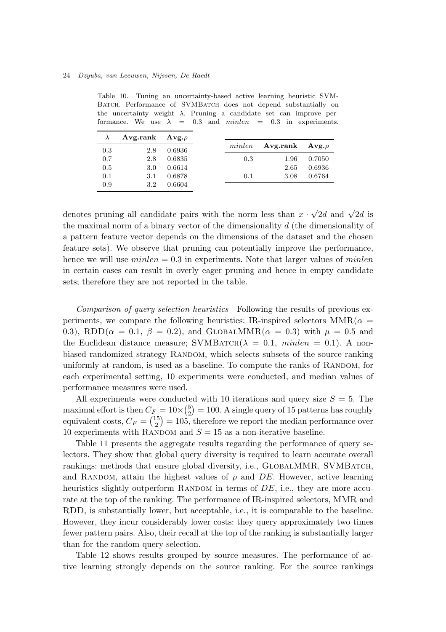Table 10. Tuning an uncertainty-based active learning heuristic SVM-BATCH. Performance of SVMBATCH does not depend substantially on the uncertainty weight  $\lambda$ . Pruning a candidate set can improve performance. We use  $\lambda = 0.3$  and  $minlen = 0.3$  in experiments.

|     | Avg.rank $Avg.\rho$ |        |        |                     |        |
|-----|---------------------|--------|--------|---------------------|--------|
| 0.3 | 2.8                 | 0.6936 | minlen | Avg.rank $Avg.\rho$ |        |
| 0.7 | 2.8                 | 0.6835 | 0.3    | 1.96                | 0.7050 |
| 0.5 | 3.0                 | 0.6614 |        | 2.65                | 0.6936 |
| 0.1 | 3.1                 | 0.6878 | 0.1    | 3.08                | 0.6764 |
| 0.9 | 3.2                 | 0.6604 |        |                     |        |

denotes pruning all candidate pairs with the norm less than  $x \cdot \sqrt{2d}$  and  $\sqrt{2d}$  is the maximal norm of a binary vector of the dimensionality *d* (the dimensionality of a pattern feature vector depends on the dimensions of the dataset and the chosen feature sets). We observe that pruning can potentially improve the performance, hence we will use *minlen* = 0*.*3 in experiments. Note that larger values of *minlen* in certain cases can result in overly eager pruning and hence in empty candidate sets; therefore they are not reported in the table.

*Comparison of query selection heuristics* Following the results of previous experiments, we compare the following heuristics: IR-inspired selectors  $MMR(\alpha =$ 0.3), RDD( $\alpha = 0.1, \ \beta = 0.2$ ), and GLOBALMMR( $\alpha = 0.3$ ) with  $\mu = 0.5$  and the Euclidean distance measure; SVMBATCH( $\lambda = 0.1$ ,  $minlen = 0.1$ ). A nonbiased randomized strategy RANDOM, which selects subsets of the source ranking uniformly at random, is used as a baseline. To compute the ranks of RANDOM, for each experimental setting, 10 experiments were conducted, and median values of performance measures were used.

All experiments were conducted with 10 iterations and query size  $S = 5$ . The maximal effort is then  $C_F = 10 \times {5 \choose 2} = 100$ . A single query of 15 patterns has roughly equivalent costs,  $C_F = \binom{15}{2} = 105$ , therefore we report the median performance over 10 experiments with RANDOM and  $S = 15$  as a non-iterative baseline.

Table 11 presents the aggregate results regarding the performance of query selectors. They show that global query diversity is required to learn accurate overall rankings: methods that ensure global diversity, i.e., GLOBALMMR, SVMBATCH, and RANDOM, attain the highest values of  $\rho$  and DE. However, active learning heuristics slightly outperform RANDOM in terms of DE, i.e., they are more accurate at the top of the ranking. The performance of IR-inspired selectors, MMR and RDD, is substantially lower, but acceptable, i.e., it is comparable to the baseline. However, they incur considerably lower costs: they query approximately two times fewer pattern pairs. Also, their recall at the top of the ranking is substantially larger than for the random query selection.

Table 12 shows results grouped by source measures. The performance of active learning strongly depends on the source ranking. For the source rankings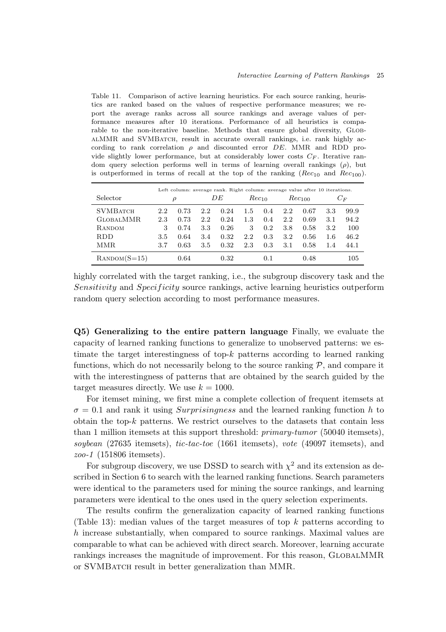Table 11. Comparison of active learning heuristics. For each source ranking, heuristics are ranked based on the values of respective performance measures; we report the average ranks across all source rankings and average values of performance measures after 10 iterations. Performance of all heuristics is comparable to the non-iterative baseline. Methods that ensure global diversity, GlobalMMR and SVMBatch, result in accurate overall rankings, i.e. rank highly according to rank correlation  $\rho$  and discounted error *DE*. MMR and RDD provide slightly lower performance, but at considerably lower costs *C<sup>F</sup>* . Iterative random query selection performs well in terms of learning overall rankings  $(\rho)$ , but is outperformed in terms of recall at the top of the ranking  $(Rec<sub>10</sub>$  and  $Rec<sub>100</sub>)$ .

|                       | Left column: average rank. Right column: average value after 10 iterations. |      |     |      |                   |     |                    |      |       |      |
|-----------------------|-----------------------------------------------------------------------------|------|-----|------|-------------------|-----|--------------------|------|-------|------|
| Selector              | $\rho$                                                                      |      | DЕ  |      | Rec <sub>10</sub> |     | Rec <sub>100</sub> |      | $C_F$ |      |
| <b>SVMBATCH</b>       | 2.2                                                                         | 0.73 | 2.2 | 0.24 | 1.5               | 0.4 | 2.2                | 0.67 | 3.3   | 99.9 |
| GLOBALMMR.            | 2.3                                                                         | 0.73 | 2.2 | 0.24 | 1.3               | 0.4 | 2.2                | 0.69 | 3.1   | 94.2 |
| RANDOM                | 3                                                                           | 0.74 | 3.3 | 0.26 | 3                 | 0.2 | 3.8                | 0.58 | 3.2   | 100  |
| RDD                   | 3.5                                                                         | 0.64 | 3.4 | 0.32 | 2.2               | 0.3 | 3.2                | 0.56 | 1.6   | 46.2 |
| MMR                   | 3.7                                                                         | 0.63 | 3.5 | 0.32 | 2.3               | 0.3 | 3.1                | 0.58 | 1.4   | 44.1 |
| $\text{RANDOM}(S=15)$ |                                                                             | 0.64 |     | 0.32 |                   | 0.1 |                    | 0.48 |       | 105  |

highly correlated with the target ranking, i.e., the subgroup discovery task and the *Sensitivity* and *Specif icity* source rankings, active learning heuristics outperform random query selection according to most performance measures.

Q5) Generalizing to the entire pattern language Finally, we evaluate the capacity of learned ranking functions to generalize to unobserved patterns: we estimate the target interestingness of top-*k* patterns according to learned ranking functions, which do not necessarily belong to the source ranking *P*, and compare it with the interestingness of patterns that are obtained by the search guided by the target measures directly. We use  $k = 1000$ .

For itemset mining, we first mine a complete collection of frequent itemsets at  $\sigma = 0.1$  and rank it using *Surprisingness* and the learned ranking function *h* to obtain the top-*k* patterns. We restrict ourselves to the datasets that contain less than 1 million itemsets at this support threshold: *primary-tumor* (50040 itemsets), *soybean* (27635 itemsets), *tic-tac-toe* (1661 itemsets), *vote* (49097 itemsets), and *zoo-1* (151806 itemsets).

For subgroup discovery, we use DSSD to search with  $\chi^2$  and its extension as described in Section 6 to search with the learned ranking functions. Search parameters were identical to the parameters used for mining the source rankings, and learning parameters were identical to the ones used in the query selection experiments.

The results confirm the generalization capacity of learned ranking functions (Table 13): median values of the target measures of top *k* patterns according to *h* increase substantially, when compared to source rankings. Maximal values are comparable to what can be achieved with direct search. Moreover, learning accurate rankings increases the magnitude of improvement. For this reason, GlobalMMR or SVMBatch result in better generalization than MMR.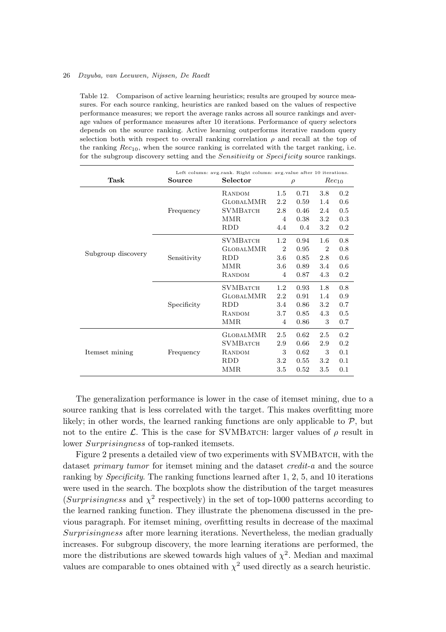Table 12. Comparison of active learning heuristics; results are grouped by source measures. For each source ranking, heuristics are ranked based on the values of respective performance measures; we report the average ranks across all source rankings and average values of performance measures after 10 iterations. Performance of query selectors depends on the source ranking. Active learning outperforms iterative random query selection both with respect to overall ranking correlation  $\rho$  and recall at the top of the ranking  $Rec<sub>10</sub>$ , when the source ranking is correlated with the target ranking, i.e. for the subgroup discovery setting and the *Sensitivity* or *Specif icity* source rankings.

| Task               | Source      | Left column: avg.rank. Right column: avg.value after 10 iterations.<br>Selector | $\rho$         |      | Rec <sub>10</sub> |         |
|--------------------|-------------|---------------------------------------------------------------------------------|----------------|------|-------------------|---------|
|                    |             | RANDOM                                                                          | 1.5            | 0.71 | 3.8               | 0.2     |
|                    | Frequency   | <b>GLOBALMMR</b>                                                                | 2.2            | 0.59 | 1.4               | 0.6     |
|                    |             | <b>SVMBATCH</b>                                                                 | 2.8            | 0.46 | 2.4               | 0.5     |
|                    |             | MMR                                                                             | 4              | 0.38 | 3.2               | 0.3     |
|                    |             | <b>RDD</b>                                                                      | 4.4            | 0.4  | 3.2               | $0.2\,$ |
|                    | Sensitivity | <b>SVMBATCH</b>                                                                 | 1.2            | 0.94 | $1.6\,$           | 0.8     |
|                    |             | <b>GLOBALMMR</b>                                                                | $\overline{2}$ | 0.95 | $\overline{2}$    | 0.8     |
| Subgroup discovery |             | <b>RDD</b>                                                                      | 3.6            | 0.85 | 2.8               | 0.6     |
|                    |             | MMR                                                                             | 3.6            | 0.89 | 3.4               | 0.6     |
|                    |             | RANDOM                                                                          | 4              | 0.87 | 4.3               | 0.2     |
|                    |             | <b>SVMBATCH</b>                                                                 | 1.2            | 0.93 | 1.8               | 0.8     |
|                    |             | <b>GLOBALMMR</b>                                                                | 2.2            | 0.91 | 1.4               | 0.9     |
|                    | Specificity | <b>RDD</b>                                                                      | 3.4            | 0.86 | 3.2               | 0.7     |
|                    |             | RANDOM                                                                          | 3.7            | 0.85 | 4.3               | 0.5     |
|                    |             | MMR                                                                             | 4              | 0.86 | 3                 | 0.7     |
|                    | Frequency   | <b>GLOBALMMR</b>                                                                | 2.5            | 0.62 | 2.5               | 0.2     |
|                    |             | <b>SVMBATCH</b>                                                                 | 2.9            | 0.66 | 2.9               | 0.2     |
| Itemset mining     |             | RANDOM                                                                          | 3              | 0.62 | 3                 | 0.1     |
|                    |             | <b>RDD</b>                                                                      | 3.2            | 0.55 | 3.2               | 0.1     |
|                    |             | <b>MMR</b>                                                                      | $3.5\,$        | 0.52 | $3.5\,$           | 0.1     |

The generalization performance is lower in the case of itemset mining, due to a source ranking that is less correlated with the target. This makes overfitting more likely; in other words, the learned ranking functions are only applicable to  $P$ , but not to the entire *L*. This is the case for SVMBATCH: larger values of  $\rho$  result in lower *Surprisingness* of top-ranked itemsets.

Figure 2 presents a detailed view of two experiments with SVMBATCH, with the dataset *primary tumor* for itemset mining and the dataset *credit-a* and the source ranking by *Specificity*. The ranking functions learned after 1, 2, 5, and 10 iterations were used in the search. The boxplots show the distribution of the target measures (*Surprisingness* and  $\chi^2$  respectively) in the set of top-1000 patterns according to the learned ranking function. They illustrate the phenomena discussed in the previous paragraph. For itemset mining, overfitting results in decrease of the maximal *Surprisingness* after more learning iterations. Nevertheless, the median gradually increases. For subgroup discovery, the more learning iterations are performed, the more the distributions are skewed towards high values of  $\chi^2$ . Median and maximal values are comparable to ones obtained with  $\chi^2$  used directly as a search heuristic.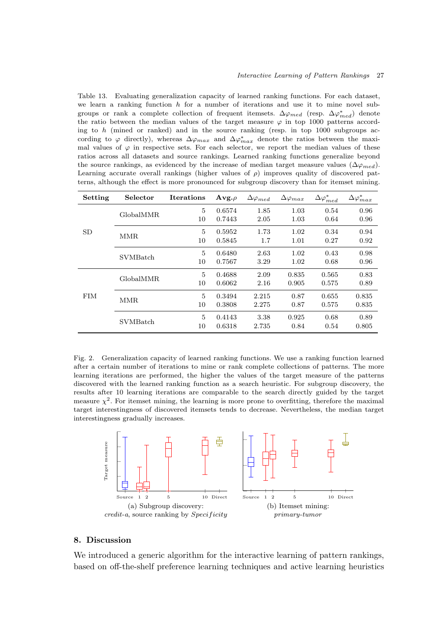Table 13. Evaluating generalization capacity of learned ranking functions. For each dataset, we learn a ranking function *h* for a number of iterations and use it to mine novel subgroups or rank a complete collection of frequent itemsets.  $\Delta\varphi_{med}$  (resp.  $\Delta\varphi_{med}^*$ ) denote the ratio between the median values of the target measure  $\varphi$  in top 1000 patterns according to *h* (mined or ranked) and in the source ranking (resp. in top 1000 subgroups according to  $\varphi$  directly), whereas  $\Delta \varphi_{max}$  and  $\Delta \varphi_{max}^*$  denote the ratios between the maximal values of  $\varphi$  in respective sets. For each selector, we report the median values of these ratios across all datasets and source rankings. Learned ranking functions generalize beyond the source rankings, as evidenced by the increase of median target measure values  $(\Delta \varphi_{med})$ . Learning accurate overall rankings (higher values of  $\rho$ ) improves quality of discovered patterns, although the effect is more pronounced for subgroup discovery than for itemset mining.

| Setting    | Selector        | <b>Iterations</b> | Avg. $\rho$ | $\Delta\varphi_{med}$ | $\Delta\varphi_{max}$ | $\Delta\varphi^*_{med}$ | $\Delta\varphi^*_{max}$ |
|------------|-----------------|-------------------|-------------|-----------------------|-----------------------|-------------------------|-------------------------|
| <b>SD</b>  | GlobalMMR.      | 5                 | 0.6574      | 1.85                  | 1.03                  | 0.54                    | 0.96                    |
|            |                 | 10                | 0.7443      | 2.05                  | 1.03                  | 0.64                    | 0.96                    |
|            | <b>MMR</b>      | $\overline{5}$    | 0.5952      | 1.73                  | 1.02                  | 0.34                    | 0.94                    |
|            |                 | 10                | 0.5845      | $1.7\,$               | 1.01                  | 0.27                    | 0.92                    |
|            | <b>SVMBatch</b> | 5                 | 0.6480      | 2.63                  | 1.02                  | 0.43                    | 0.98                    |
|            |                 | 10                | 0.7567      | 3.29                  | 1.02                  | 0.68                    | 0.96                    |
| <b>FIM</b> | GlobalMMR.      | 5                 | 0.4688      | 2.09                  | 0.835                 | 0.565                   | 0.83                    |
|            |                 | 10                | 0.6062      | 2.16                  | 0.905                 | 0.575                   | 0.89                    |
|            | <b>MMR</b>      | 5                 | 0.3494      | 2.215                 | 0.87                  | 0.655                   | 0.835                   |
|            |                 | 10                | 0.3808      | 2.275                 | 0.87                  | 0.575                   | 0.835                   |
|            | <b>SVMBatch</b> | 5                 | 0.4143      | 3.38                  | 0.925                 | 0.68                    | 0.89                    |
|            |                 | 10                | 0.6318      | 2.735                 | 0.84                  | 0.54                    | 0.805                   |

Fig. 2. Generalization capacity of learned ranking functions. We use a ranking function learned after a certain number of iterations to mine or rank complete collections of patterns. The more learning iterations are performed, the higher the values of the target measure of the patterns discovered with the learned ranking function as a search heuristic. For subgroup discovery, the results after 10 learning iterations are comparable to the search directly guided by the target measure  $\chi^2$ . For itemset mining, the learning is more prone to overfitting, therefore the maximal target interestingness of discovered itemsets tends to decrease. Nevertheless, the median target interestingness gradually increases.



# 8. Discussion

We introduced a generic algorithm for the interactive learning of pattern rankings, based on off-the-shelf preference learning techniques and active learning heuristics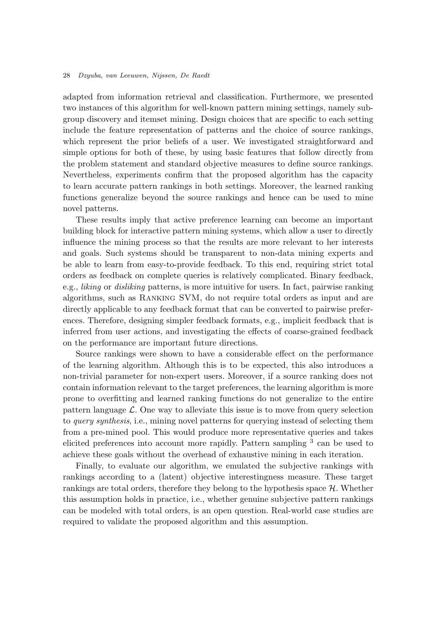adapted from information retrieval and classification. Furthermore, we presented two instances of this algorithm for well-known pattern mining settings, namely subgroup discovery and itemset mining. Design choices that are specific to each setting include the feature representation of patterns and the choice of source rankings, which represent the prior beliefs of a user. We investigated straightforward and simple options for both of these, by using basic features that follow directly from the problem statement and standard objective measures to define source rankings. Nevertheless, experiments confirm that the proposed algorithm has the capacity to learn accurate pattern rankings in both settings. Moreover, the learned ranking functions generalize beyond the source rankings and hence can be used to mine novel patterns.

These results imply that active preference learning can become an important building block for interactive pattern mining systems, which allow a user to directly influence the mining process so that the results are more relevant to her interests and goals. Such systems should be transparent to non-data mining experts and be able to learn from easy-to-provide feedback. To this end, requiring strict total orders as feedback on complete queries is relatively complicated. Binary feedback, e.g., *liking* or *disliking* patterns, is more intuitive for users. In fact, pairwise ranking algorithms, such as Ranking SVM, do not require total orders as input and are directly applicable to any feedback format that can be converted to pairwise preferences. Therefore, designing simpler feedback formats, e.g., implicit feedback that is inferred from user actions, and investigating the effects of coarse-grained feedback on the performance are important future directions.

Source rankings were shown to have a considerable effect on the performance of the learning algorithm. Although this is to be expected, this also introduces a non-trivial parameter for non-expert users. Moreover, if a source ranking does not contain information relevant to the target preferences, the learning algorithm is more prone to overfitting and learned ranking functions do not generalize to the entire pattern language  $\mathcal{L}$ . One way to alleviate this issue is to move from query selection to *query synthesis*, i.e., mining novel patterns for querying instead of selecting them from a pre-mined pool. This would produce more representative queries and takes elicited preferences into account more rapidly. Pattern sampling <sup>3</sup> can be used to achieve these goals without the overhead of exhaustive mining in each iteration.

Finally, to evaluate our algorithm, we emulated the subjective rankings with rankings according to a (latent) objective interestingness measure. These target rankings are total orders, therefore they belong to the hypothesis space *H*. Whether this assumption holds in practice, i.e., whether genuine subjective pattern rankings can be modeled with total orders, is an open question. Real-world case studies are required to validate the proposed algorithm and this assumption.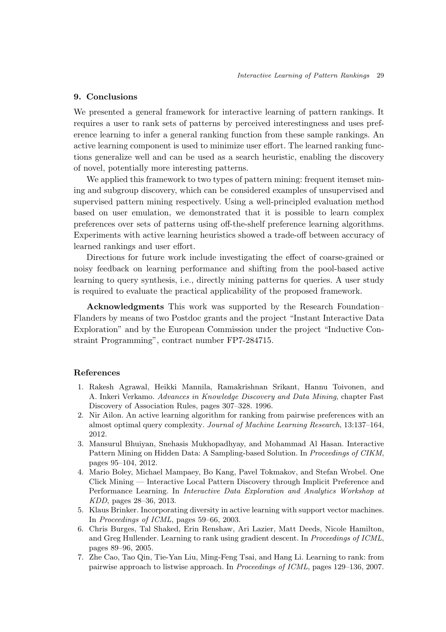## 9. Conclusions

We presented a general framework for interactive learning of pattern rankings. It requires a user to rank sets of patterns by perceived interestingness and uses preference learning to infer a general ranking function from these sample rankings. An active learning component is used to minimize user effort. The learned ranking functions generalize well and can be used as a search heuristic, enabling the discovery of novel, potentially more interesting patterns.

We applied this framework to two types of pattern mining: frequent itemset mining and subgroup discovery, which can be considered examples of unsupervised and supervised pattern mining respectively. Using a well-principled evaluation method based on user emulation, we demonstrated that it is possible to learn complex preferences over sets of patterns using off-the-shelf preference learning algorithms. Experiments with active learning heuristics showed a trade-off between accuracy of learned rankings and user effort.

Directions for future work include investigating the effect of coarse-grained or noisy feedback on learning performance and shifting from the pool-based active learning to query synthesis, i.e., directly mining patterns for queries. A user study is required to evaluate the practical applicability of the proposed framework.

Acknowledgments This work was supported by the Research Foundation– Flanders by means of two Postdoc grants and the project "Instant Interactive Data Exploration" and by the European Commission under the project "Inductive Constraint Programming", contract number FP7-284715.

# References

- 1. Rakesh Agrawal, Heikki Mannila, Ramakrishnan Srikant, Hannu Toivonen, and A. Inkeri Verkamo. *Advances in Knowledge Discovery and Data Mining*, chapter Fast Discovery of Association Rules, pages 307–328. 1996.
- 2. Nir Ailon. An active learning algorithm for ranking from pairwise preferences with an almost optimal query complexity. *Journal of Machine Learning Research*, 13:137–164, 2012.
- 3. Mansurul Bhuiyan, Snehasis Mukhopadhyay, and Mohammad Al Hasan. Interactive Pattern Mining on Hidden Data: A Sampling-based Solution. In *Proceedings of CIKM*, pages 95–104, 2012.
- 4. Mario Boley, Michael Mampaey, Bo Kang, Pavel Tokmakov, and Stefan Wrobel. One Click Mining — Interactive Local Pattern Discovery through Implicit Preference and Performance Learning. In *Interactive Data Exploration and Analytics Workshop at KDD*, pages 28–36, 2013.
- 5. Klaus Brinker. Incorporating diversity in active learning with support vector machines. In *Proceedings of ICML*, pages 59–66, 2003.
- 6. Chris Burges, Tal Shaked, Erin Renshaw, Ari Lazier, Matt Deeds, Nicole Hamilton, and Greg Hullender. Learning to rank using gradient descent. In *Proceedings of ICML*, pages 89–96, 2005.
- 7. Zhe Cao, Tao Qin, Tie-Yan Liu, Ming-Feng Tsai, and Hang Li. Learning to rank: from pairwise approach to listwise approach. In *Proceedings of ICML*, pages 129–136, 2007.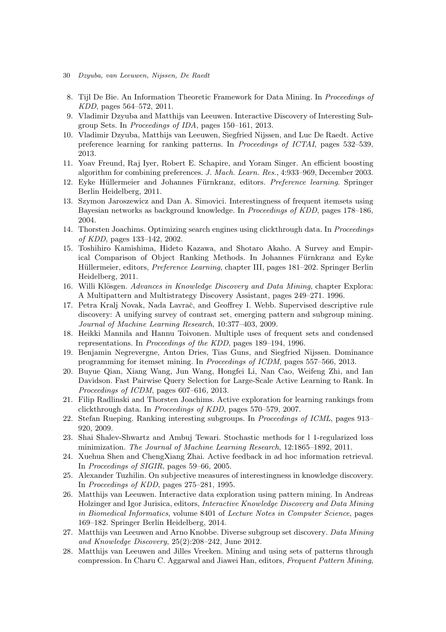- 30 *Dzyuba, van Leeuwen, Nijssen, De Raedt*
- 8. Tijl De Bie. An Information Theoretic Framework for Data Mining. In *Proceedings of KDD*, pages 564–572, 2011.
- 9. Vladimir Dzyuba and Matthijs van Leeuwen. Interactive Discovery of Interesting Subgroup Sets. In *Proceedings of IDA*, pages 150–161, 2013.
- 10. Vladimir Dzyuba, Matthijs van Leeuwen, Siegfried Nijssen, and Luc De Raedt. Active preference learning for ranking patterns. In *Proceedings of ICTAI*, pages 532–539, 2013.
- 11. Yoav Freund, Raj Iyer, Robert E. Schapire, and Yoram Singer. An efficient boosting algorithm for combining preferences. *J. Mach. Learn. Res.*, 4:933–969, December 2003.
- 12. Eyke Hüllermeier and Johannes Fürnkranz, editors. *Preference learning*. Springer Berlin Heidelberg, 2011.
- 13. Szymon Jaroszewicz and Dan A. Simovici. Interestingness of frequent itemsets using Bayesian networks as background knowledge. In *Proceedings of KDD*, pages 178–186, 2004.
- 14. Thorsten Joachims. Optimizing search engines using clickthrough data. In *Proceedings of KDD*, pages 133–142, 2002.
- 15. Toshihiro Kamishima, Hideto Kazawa, and Shotaro Akaho. A Survey and Empirical Comparison of Object Ranking Methods. In Johannes Fürnkranz and Eyke Hüllermeier, editors, *Preference Learning*, chapter III, pages 181–202. Springer Berlin Heidelberg, 2011.
- 16. Willi Klösgen. *Advances in Knowledge Discovery and Data Mining*, chapter Explora: A Multipattern and Multistrategy Discovery Assistant, pages 249–271. 1996.
- 17. Petra Kralj Novak, Nada Lavrač, and Geoffrey I. Webb. Supervised descriptive rule discovery: A unifying survey of contrast set, emerging pattern and subgroup mining. *Journal of Machine Learning Research*, 10:377–403, 2009.
- 18. Heikki Mannila and Hannu Toivonen. Multiple uses of frequent sets and condensed representations. In *Proceedings of the KDD*, pages 189–194, 1996.
- 19. Benjamin Negrevergne, Anton Dries, Tias Guns, and Siegfried Nijssen. Dominance programming for itemset mining. In *Proceedings of ICDM*, pages 557–566, 2013.
- 20. Buyue Qian, Xiang Wang, Jun Wang, Hongfei Li, Nan Cao, Weifeng Zhi, and Ian Davidson. Fast Pairwise Query Selection for Large-Scale Active Learning to Rank. In *Proceedings of ICDM*, pages 607–616, 2013.
- 21. Filip Radlinski and Thorsten Joachims. Active exploration for learning rankings from clickthrough data. In *Proceedings of KDD*, pages 570–579, 2007.
- 22. Stefan Rueping. Ranking interesting subgroups. In *Proceedings of ICML*, pages 913– 920, 2009.
- 23. Shai Shalev-Shwartz and Ambuj Tewari. Stochastic methods for l 1-regularized loss minimization. *The Journal of Machine Learning Research*, 12:1865–1892, 2011.
- 24. Xuehua Shen and ChengXiang Zhai. Active feedback in ad hoc information retrieval. In *Proceedings of SIGIR*, pages 59–66, 2005.
- 25. Alexander Tuzhilin. On subjective measures of interestingness in knowledge discovery. In *Proceedings of KDD*, pages 275–281, 1995.
- 26. Matthijs van Leeuwen. Interactive data exploration using pattern mining. In Andreas Holzinger and Igor Jurisica, editors, *Interactive Knowledge Discovery and Data Mining in Biomedical Informatics*, volume 8401 of *Lecture Notes in Computer Science*, pages 169–182. Springer Berlin Heidelberg, 2014.
- 27. Matthijs van Leeuwen and Arno Knobbe. Diverse subgroup set discovery. *Data Mining and Knowledge Discovery*, 25(2):208–242, June 2012.
- 28. Matthijs van Leeuwen and Jilles Vreeken. Mining and using sets of patterns through compression. In Charu C. Aggarwal and Jiawei Han, editors, *Frequent Pattern Mining*,